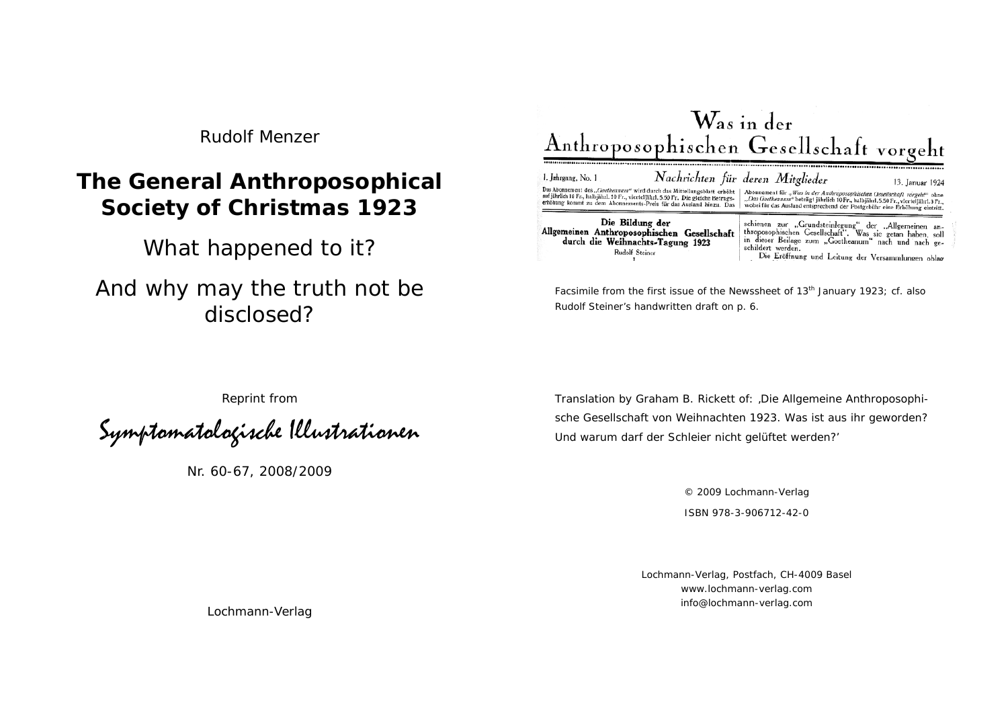*Rudolf Menzer* 

# **The General Anthroposophical Society of Christmas 1923**

What happened to it?

And why may the truth not be disclosed?



Facsimile from the first issue of the Newssheet of 13<sup>th</sup> January 1923; cf. also Rudolf Steiner's handwritten draft on p. 6.

Reprint from

Symptomatologische Illustrationen

Nr. 60-67, 2008/2009

Translation by Graham B. Rickett of: 'Die Allgemeine Anthroposophische Gesellschaft von Weihnachten 1923. Was ist aus ihr geworden? Und warum darf der Schleier nicht gelüftet werden?'

> © 2009 Lochmann-Verlag ISBN 978-3-906712-42-0

Lochmann-Verlag, Postfach, CH-4009 Basel www.lochmann-verlag.com info@lochmann-verlag.com

Lochmann-Verlag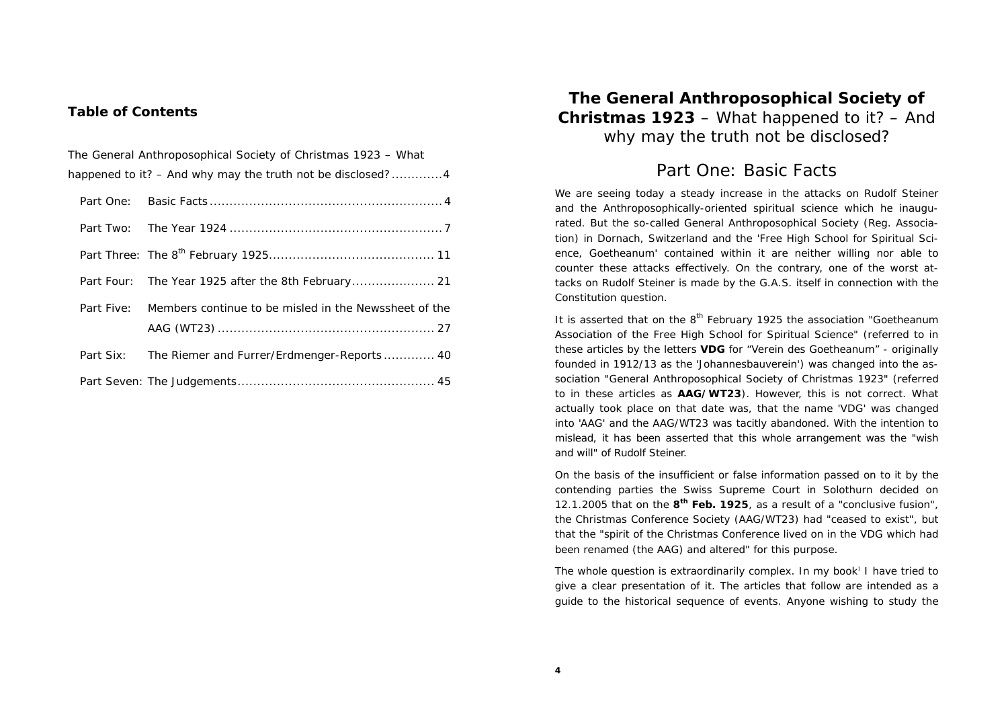#### **Table of Contents**

| The General Anthroposophical Society of Christmas 1923 – What |                                                       |
|---------------------------------------------------------------|-------------------------------------------------------|
| happened to it? $-$ And why may the truth not be disclosed?4  |                                                       |
|                                                               |                                                       |
|                                                               |                                                       |
|                                                               |                                                       |
|                                                               |                                                       |
| Part Five:                                                    | Members continue to be misled in the Newssheet of the |
|                                                               |                                                       |
|                                                               | Part Six: The Riemer and Furrer/Erdmenger-Reports 40  |
|                                                               |                                                       |

### **The General Anthroposophical Society of Christmas 1923** – What happened to it? – And why may the truth not be disclosed?

### Part One: Basic Facts

We are seeing today a steady increase in the attacks on Rudolf Steiner and the Anthroposophically-oriented spiritual science which he inaugurated. But the so-called General Anthroposophical Society (Reg. Association) in Dornach, Switzerland and the 'Free High School for Spiritual Science, Goetheanum' contained within it are neither willing nor able to counter these attacks effectively. On the contrary, one of the worst attacks on Rudolf Steiner is made by the G.A.S. itself in connection with the Constitution question.

It is asserted that on the  $8<sup>th</sup>$  February 1925 the association "Goetheanum Association of the Free High School for Spiritual Science" (referred to in these articles by the letters **VDG** for "Verein des Goetheanum" - originally founded in 1912/13 as the 'Johannesbauverein') was changed into the association "General Anthroposophical Society of Christmas 1923" (referred to in these articles as **AAG/WT23**). However, this is not correct. What actually took place on that date was, that the name 'VDG' was changed into 'AAG' and the AAG/WT23 was tacitly abandoned. With the intention to mislead, it has been asserted that this whole arrangement was the "wish and will" of Rudolf Steiner.

On the basis of the insufficient or false information passed on to it by the contending parties the Swiss Supreme Court in Solothurn decided on 12.1.2005 that on the **8th Feb. 1925**, as a result of a "conclusive fusion", the Christmas Conference Society (AAG/WT23) had "ceased to exist", but that the "spirit of the Christmas Conference lived on in the VDG which had been renamed (the AAG) and altered" for this purpose.

The whole question is extraordinarily complex. In my book<sup>1</sup> I have tried to give a clear presentation of it. The articles that follow are intended as a guide to the historical sequence of events. Anyone wishing to study the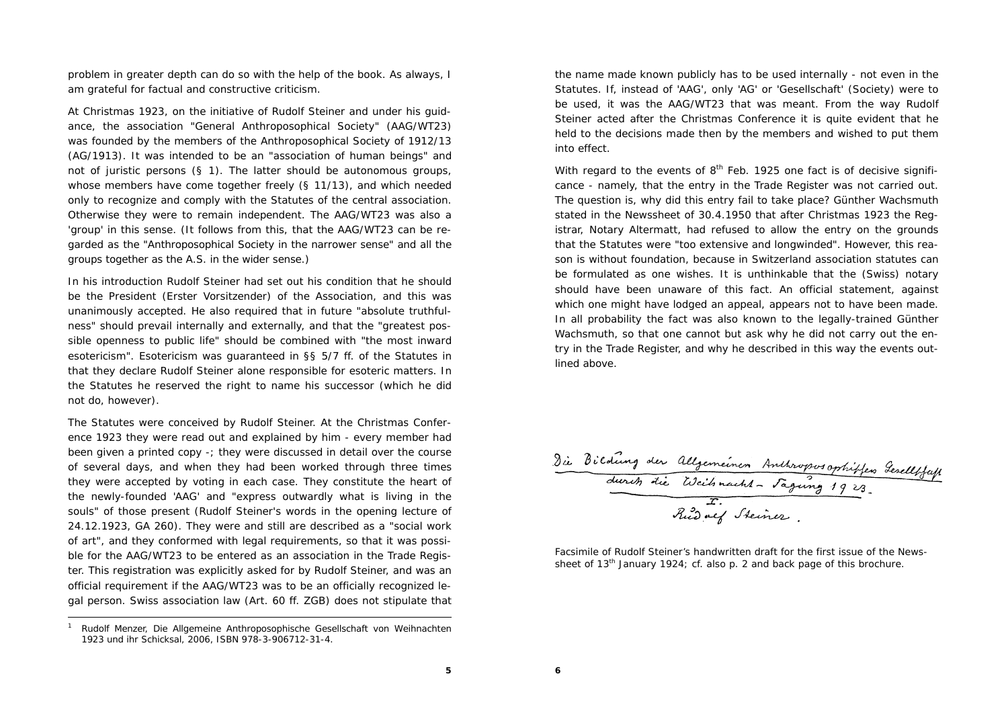problem in greater depth can do so with the help of the book. As always, I am grateful for factual and constructive criticism.

At Christmas 1923, on the initiative of Rudolf Steiner and under his guidance, the association "General Anthroposophical Society" (AAG/WT23) was founded by the members of the Anthroposophical Society of 1912/13 (AG/1913). It was intended to be an "association of human beings" and not of juristic persons (§ 1). The latter should be autonomous groups, whose members have come together freely (§ 11/13), and which needed only to recognize and comply with the Statutes of the central association. Otherwise they were to remain independent. The AAG/WT23 was also a 'group' in this sense. (It follows from this, that the AAG/WT23 can be regarded as the "Anthroposophical Society in the narrower sense" and all the groups together as the A.S. in the wider sense.)

In his introduction Rudolf Steiner had set out his condition that he should be the President (Erster Vorsitzender) of the Association, and this was unanimously accepted. He also required that in future "absolute truthfulness" should prevail internally and externally, and that the "greatest possible openness to public life" should be combined with "the most inward esotericism". Esotericism was guaranteed in §§ 5/7 ff. of the Statutes in that they declare Rudolf Steiner alone responsible for esoteric matters. In the Statutes he reserved the right to name his successor (which he did not do, however).

The Statutes were conceived by Rudolf Steiner. At the Christmas Conference 1923 they were read out and explained by him - every member had been given a printed copy -; they were discussed in detail over the course of several days, and when they had been worked through three times they were accepted by voting in each case. They constitute the heart of the newly-founded 'AAG' and "express outwardly what is living in the souls" of those present (Rudolf Steiner's words in the opening lecture of 24.12.1923, GA 260). They were and still are described as a "social work of art", and they conformed with legal requirements, so that it was possible for the AAG/WT23 to be entered as an association in the Trade Register. This registration was explicitly asked for by Rudolf Steiner, and was an official requirement if the AAG/WT23 was to be an officially recognized legal person. Swiss association law (Art. 60 ff. ZGB) does not stipulate that the name made known publicly has to be used internally - not even in the Statutes. If, instead of 'AAG', only 'AG' or 'Gesellschaft' (Society) were to be used, it was the AAG/WT23 that was meant. From the way Rudolf Steiner acted after the Christmas Conference it is quite evident that he held to the decisions made then by the members and wished to put them into effect.

With regard to the events of  $8<sup>th</sup>$  Feb. 1925 one fact is of decisive significance - namely, that the entry in the Trade Register was not carried out. The question is, why did this entry fail to take place? Günther Wachsmuth stated in the Newssheet of 30.4.1950 that after Christmas 1923 the Registrar, Notary Altermatt, had refused to allow the entry on the grounds that the Statutes were "too extensive and longwinded". However, this reason is without foundation, because in Switzerland association statutes can be formulated as one wishes. It is unthinkable that the (Swiss) notary should have been unaware of this fact. An official statement, against which one might have lodged an appeal, appears not to have been made. In all probability the fact was also known to the legally-trained Günther Wachsmuth, so that one cannot but ask why he did not carry out the entry in the Trade Register, and why he described in this way the events outlined above.

Die Bildung der Allgemeinen Anthroposophitfen Gerelltfaft<br>durch die Weihnacht - Fagung 1923

Facsimile of Rudolf Steiner's handwritten draft for the first issue of the Newssheet of 13<sup>th</sup> January 1924; cf. also p. 2 and back page of this brochure.

**6**

<sup>1</sup> Rudolf Menzer, *Die Allgemeine Anthroposophische Gesellschaft von Weihnachten 1923 und ihr Schicksal,* 2006, ISBN 978-3-906712-31-4.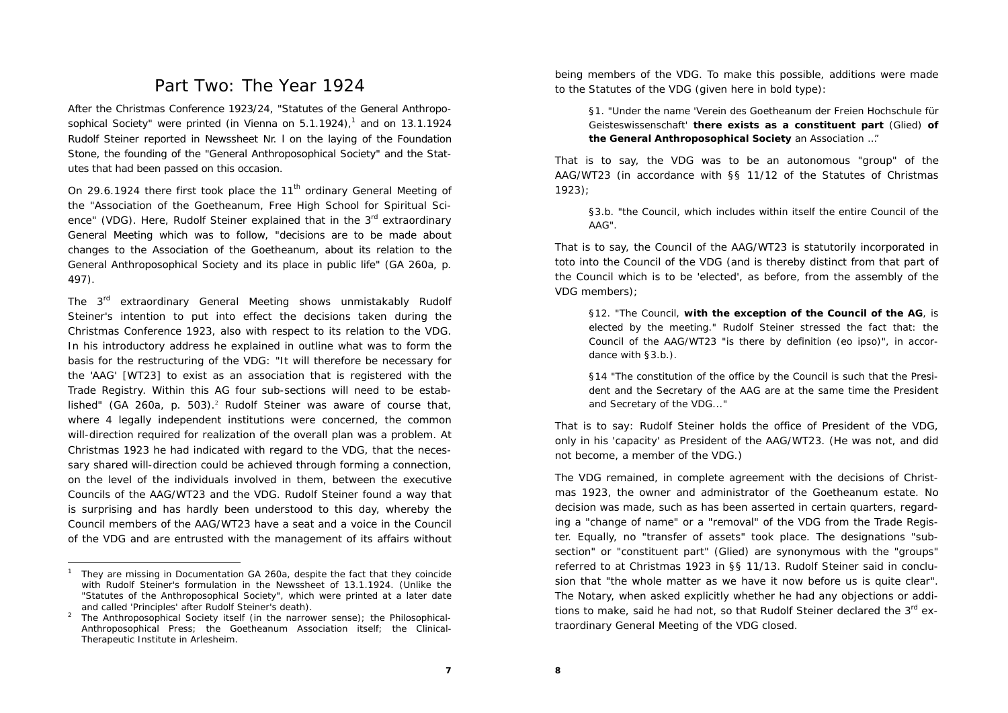### Part Two: The Year 1924

After the Christmas Conference 1923/24, "Statutes of the General Anthroposophical Society" were printed (in Vienna on  $5.1.1924$ ),<sup>1</sup> and on  $13.1.1924$ Rudolf Steiner reported in Newssheet Nr. l on the laying of the Foundation Stone, the founding of the "General Anthroposophical Society" and the Statutes that had been passed on this occasion.

On 29.6.1924 there first took place the  $11<sup>th</sup>$  ordinary General Meeting of the "Association of the Goetheanum, Free High School for Spiritual Science" (VDG). Here, Rudolf Steiner explained that in the 3<sup>rd</sup> extraordinary General Meeting which was to follow, "decisions are to be made about changes to the Association of the Goetheanum, about its relation to the General Anthroposophical Society and its place in public life" (GA 260a, p. 497).

The 3<sup>rd</sup> extraordinary General Meeting shows unmistakably Rudolf Steiner's intention to put into effect the decisions taken during the Christmas Conference 1923, also with respect to its relation to the VDG. In his introductory address he explained in outline what was to form the basis for the restructuring of the VDG: "It will therefore be necessary for the 'AAG' [WT23] to exist as an association that is registered with the Trade Registry. Within this AG four sub-sections will need to be established" (GA 260a, p. 503).<sup>2</sup> Rudolf Steiner was aware of course that, where 4 legally independent institutions were concerned, the common will-direction required for realization of the overall plan was a problem. At Christmas 1923 he had indicated with regard to the VDG, that the necessary shared will-direction could be achieved through forming a connection, on the level of the individuals involved in them, between the executive Councils of the AAG/WT23 and the VDG. Rudolf Steiner found a way that is surprising and has hardly been understood to this day, whereby the Council members of the AAG/WT23 have a seat and a voice in the Council of the VDG and are entrusted with the management of its affairs without

being members of the VDG. To make this possible, additions were made to the Statutes of the VDG (given here in bold type):

§1. "Under the name 'Verein des Goetheanum der Freien Hochschule für Geisteswissenschaft' **there exists as a constituent part** (Glied) **of the General Anthroposophical Society** an Association …"

That is to say, the VDG was to be an autonomous "group" of the AAG/WT23 (in accordance with §§ 11/12 of the Statutes of Christmas 1923);

§3.b. "the Council, which includes within itself the entire Council of the AAG".

That is to say, the Council of the AAG/WT23 is statutorily incorporated in toto into the Council of the VDG (and is thereby distinct from that part of the Council which is to be 'elected', as before, from the assembly of the VDG members);

§12. "The Council, **with the exception of the Council of the AG**, is elected by the meeting." Rudolf Steiner stressed the fact that: the Council of the AAG/WT23 "is there by definition (eo ipso)", in accordance with §3.b.).

§14 "The constitution of the office by the Council is such that the President and the Secretary of the AAG are at the same time the President and Secretary of the VDG..."

That is to say: Rudolf Steiner holds the office of President of the VDG, only in his 'capacity' as President of the AAG/WT23. (He was not, and did not become, a member of the VDG.)

The VDG remained, in complete agreement with the decisions of Christmas 1923, the owner and administrator of the Goetheanum estate. No decision was made, such as has been asserted in certain quarters, regarding a "change of name" or a "removal" of the VDG from the Trade Register. Equally, no "transfer of assets" took place. The designations "subsection" or "constituent part" (Glied) are synonymous with the "groups" referred to at Christmas 1923 in §§ 11/13. Rudolf Steiner said in conclusion that "the whole matter as we have it now before us is quite clear". The Notary, when asked explicitly whether he had any objections or additions to make, said he had not, so that Rudolf Steiner declared the  $3^{rd}$  extraordinary General Meeting of the VDG closed.

<sup>1</sup> They are missing in Documentation GA 260a, despite the fact that they coincide with Rudolf Steiner's formulation in the Newssheet of 13.1.1924. (Unlike the "Statutes of the Anthroposophical Society", which were printed at a later date and called 'Principles' after Rudolf Steiner's death).

<sup>&</sup>lt;sup>2</sup> The Anthroposophical Society itself (in the narrower sense); the Philosophical-Anthroposophical Press; the Goetheanum Association itself; the Clinical-Therapeutic Institute in Arlesheim.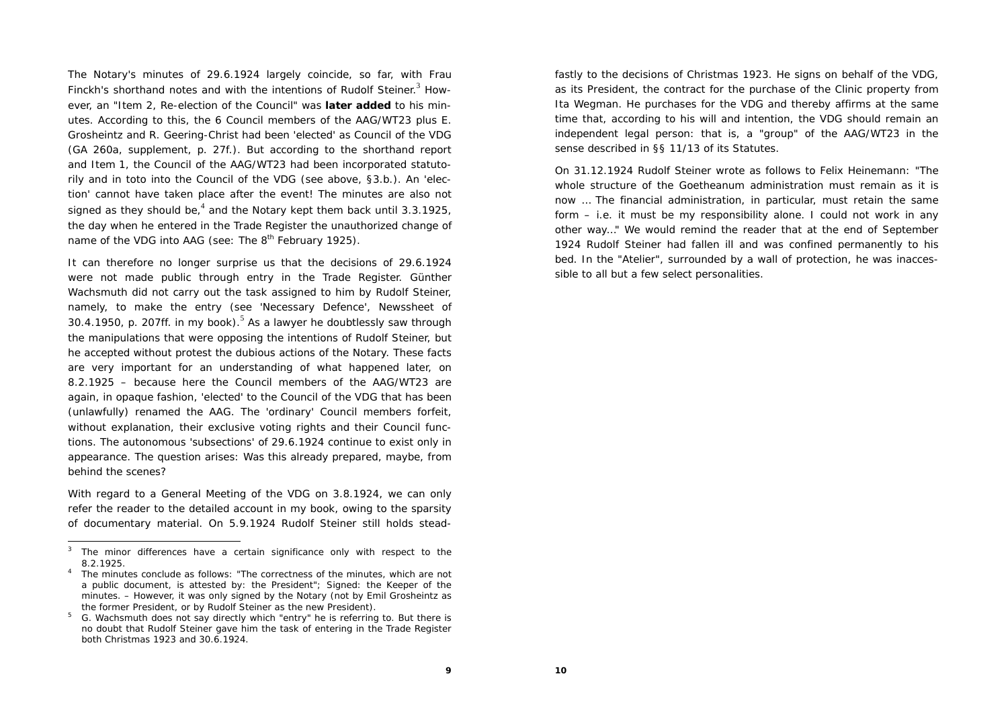The Notary's minutes of 29.6.1924 largely coincide, so far, with Frau Finckh's shorthand notes and with the intentions of Rudolf Steiner.<sup>3</sup> However, an "Item 2, Re-election of the Council" was **later added** to his minutes. According to this, the 6 Council members of the AAG/WT23 plus E. Grosheintz and R. Geering-Christ had been 'elected' as Council of the VDG (GA 260a, supplement, p. 27f.). But according to the shorthand report and Item 1, the Council of the AAG/WT23 had been incorporated statutorily and in toto into the Council of the VDG (see above, §3.b.). An 'election' cannot have taken place after the event! The minutes are also not signed as they should be,<sup>4</sup> and the Notary kept them back until 3.3.1925, the day when he entered in the Trade Register the unauthorized change of name of the VDG into AAG (see: The  $8<sup>th</sup>$  February 1925).

It can therefore no longer surprise us that the decisions of 29.6.1924 were not made public through entry in the Trade Register. Günther Wachsmuth did not carry out the task assigned to him by Rudolf Steiner, namely, to make the entry (see 'Necessary Defence', Newssheet of 30.4.1950, p. 207ff. in my book).<sup>5</sup> As a lawyer he doubtlessly saw through the manipulations that were opposing the intentions of Rudolf Steiner, but he accepted without protest the dubious actions of the Notary. These facts are very important for an understanding of what happened later, on 8.2.1925 – because here the Council members of the AAG/WT23 are again, in opaque fashion, 'elected' to the Council of the VDG that has been (unlawfully) renamed the AAG. The 'ordinary' Council members forfeit, without explanation, their exclusive voting rights and their Council functions. The autonomous 'subsections' of 29.6.1924 continue to exist only in appearance. The question arises: Was this already prepared, maybe, from behind the scenes?

With regard to a General Meeting of the VDG on 3.8.1924, we can only refer the reader to the detailed account in my book, owing to the sparsity of documentary material. On 5.9.1924 Rudolf Steiner still holds steadfastly to the decisions of Christmas 1923. He signs on behalf of the VDG, as its President, the contract for the purchase of the Clinic property from Ita Wegman. He purchases for the VDG and thereby affirms at the same time that, according to his will and intention, the VDG should remain an independent legal person: that is, a "group" of the AAG/WT23 in the sense described in §§ 11/13 of its Statutes.

On 31.12.1924 Rudolf Steiner wrote as follows to Felix Heinemann: "The whole structure of the Goetheanum administration must remain as it is now … The financial administration, in particular, must retain the same form – i.e. it must be my responsibility alone. I could not work in any other way…" We would remind the reader that at the end of September 1924 Rudolf Steiner had fallen ill and was confined permanently to his bed. In the "Atelier", surrounded by a wall of protection, he was inaccessible to all but a few select personalities.

 $3$  The minor differences have a certain significance only with respect to the 8.2.1925.

4 The minutes conclude as follows: "The correctness of the minutes, which are not a public document, is attested by: the President"; Signed: the Keeper of the minutes. – However, it was only signed by the Notary (not by Emil Grosheintz as the former President, or by Rudolf Steiner as the new President).

<sup>5</sup> G. Wachsmuth does not say directly which "entry" he is referring to. But there is no doubt that Rudolf Steiner gave him the task of entering in the Trade Register both Christmas 1923 and 30.6.1924.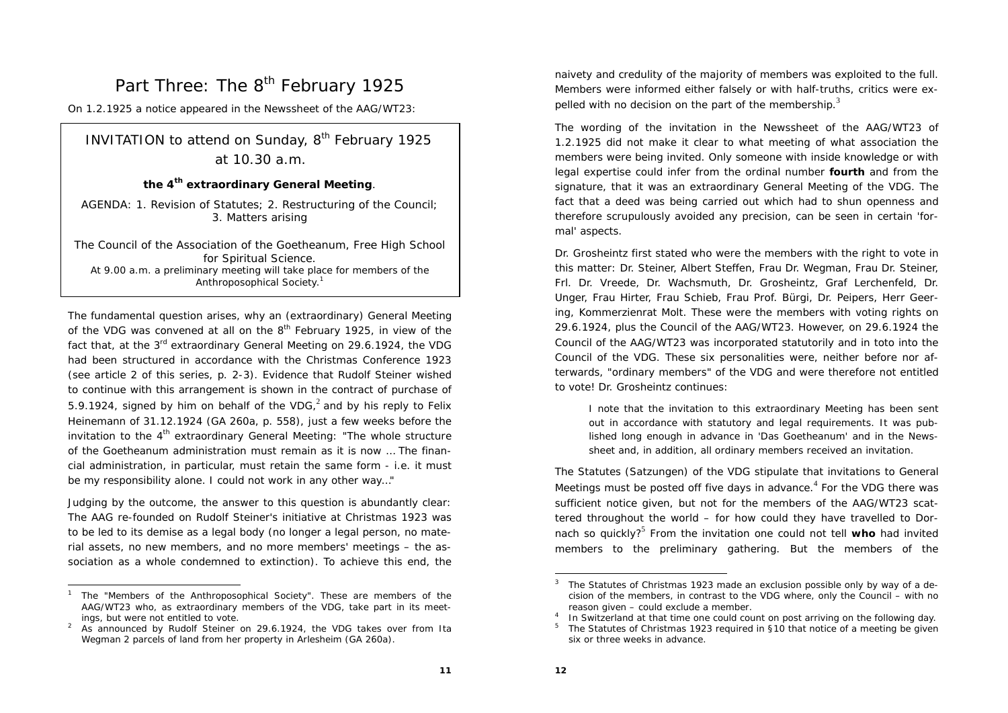## Part Three: The 8<sup>th</sup> February 1925

On 1.2.1925 a notice appeared in the Newssheet of the AAG/WT23:

### **INVITATION to attend on Sunday,**  $8<sup>th</sup>$  **February 1925** at 10.30 a.m.

#### **the 4th extraordinary General Meeting**.

AGENDA: 1. Revision of Statutes; 2. Restructuring of the Council; 3. Matters arising

The Council of the Association of the Goetheanum, Free High School for Spiritual Science. At 9.00 a.m. a preliminary meeting will take place for members of the Anthroposophical Society.<sup>1</sup>

The fundamental question arises, why an (extraordinary) General Meeting of the VDG was convened at all on the 8<sup>th</sup> February 1925, in view of the fact that, at the 3<sup>rd</sup> extraordinary General Meeting on 29.6.1924, the VDG had been structured in accordance with the Christmas Conference 1923 (see article 2 of this series, p. 2-3). Evidence that Rudolf Steiner wished to continue with this arrangement is shown in the contract of purchase of 5.9.1924, signed by him on behalf of the VDG, $^2$  and by his reply to Felix Heinemann of 31.12.1924 (GA 260a, p. 558), just a few weeks before the invitation to the  $4<sup>th</sup>$  extraordinary General Meeting: "The whole structure of the Goetheanum administration must remain as it is now … The financial administration, in particular, must retain the same form - i.e. it must be my responsibility alone. I could not work in any other way…"

Judging by the outcome, the answer to this question is abundantly clear: The AAG re-founded on Rudolf Steiner's initiative at Christmas 1923 was to be led to its demise as a legal body (no longer a legal person, no material assets, no new members, and no more members' meetings – the association as a whole condemned to extinction). To achieve this end, the

naivety and credulity of the majority of members was exploited to the full. Members were informed either falsely or with half-truths, critics were expelled with no decision on the part of the membership. $3$ 

The wording of the invitation in the Newssheet of the AAG/WT23 of 1.2.1925 did not make it clear to what meeting of what association the members were being invited. Only someone with inside knowledge or with legal expertise could infer from the ordinal number **fourth** and from the signature, that it was an extraordinary General Meeting of the VDG. The fact that a deed was being carried out which had to shun openness and therefore scrupulously avoided any precision, can be seen in certain 'formal' aspects.

Dr. Grosheintz first stated who were the members with the right to vote in this matter: Dr. Steiner, Albert Steffen, Frau Dr. Wegman, Frau Dr. Steiner, Frl. Dr. Vreede, Dr. Wachsmuth, Dr. Grosheintz, Graf Lerchenfeld, Dr. Unger, Frau Hirter, Frau Schieb, Frau Prof. Bürgi, Dr. Peipers, Herr Geering, Kommerzienrat Molt. These were the members with voting rights on 29.6.1924, plus the Council of the AAG/WT23. However, on 29.6.1924 the Council of the AAG/WT23 was incorporated statutorily and in toto into the Council of the VDG. These six personalities were, neither before nor afterwards, "ordinary members" of the VDG and were therefore not entitled to vote! Dr. Grosheintz continues:

I note that the invitation to this extraordinary Meeting has been sent out in accordance with statutory and legal requirements. It was published long enough in advance in 'Das Goetheanum' and in the Newssheet and, in addition, all ordinary members received an invitation.

The Statutes (Satzungen) of the VDG stipulate that invitations to General Meetings must be posted off five days in advance. $4$  For the VDG there was sufficient notice given, but not for the members of the AAG/WT23 scattered throughout the world – for how could they have travelled to Dornach so quickly?<sup>5</sup> From the invitation one could not tell **who** had invited members to the preliminary gathering. But the members of the

<sup>1</sup> The "Members of the Anthroposophical Society". These are members of the AAG/WT23 who, as extraordinary members of the VDG, take part in its meetings, but were not entitled to vote.

<sup>&</sup>lt;sup>2</sup> As announced by Rudolf Steiner on 29.6.1924, the VDG takes over from Ita Wegman 2 parcels of land from her property in Arlesheim (GA 260a).

 $3$  The Statutes of Christmas 1923 made an exclusion possible only by way of a decision of the members, in contrast to the VDG where, only the Council – with no reason given – could exclude a member.

In Switzerland at that time one could count on post arriving on the following day.

<sup>5</sup> The Statutes of Christmas 1923 required in §10 that notice of a meeting be given six or three weeks in advance.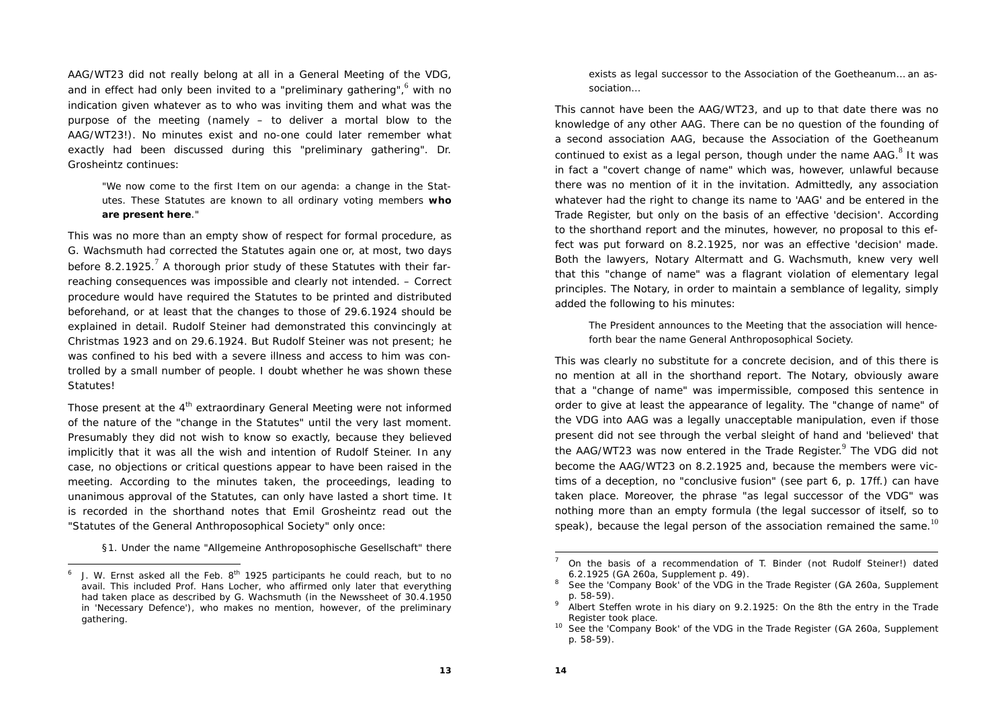AAG/WT23 did not really belong at all in a General Meeting of the VDG, and in effect had only been invited to a "preliminary gathering", $6$  with no indication given whatever as to who was inviting them and what was the purpose of the meeting (namely – to deliver a mortal blow to the AAG/WT23!). No minutes exist and no-one could later remember what exactly had been discussed during this "preliminary gathering". Dr. Grosheintz continues:

"We now come to the first Item on our agenda: a change in the Statutes. These Statutes are known to all ordinary voting members **who are present here**."

This was no more than an empty show of respect for formal procedure, as G. Wachsmuth had corrected the Statutes again one or, at most, two days before 8.2.1925.<sup>7</sup> A thorough prior study of these Statutes with their farreaching consequences was impossible and clearly not intended. – Correct procedure would have required the Statutes to be printed and distributed beforehand, or at least that the changes to those of 29.6.1924 should be explained in detail. Rudolf Steiner had demonstrated this convincingly at Christmas 1923 and on 29.6.1924. But Rudolf Steiner was not present; he was confined to his bed with a severe illness and access to him was controlled by a small number of people. I doubt whether he was shown these Statutes!

Those present at the 4<sup>th</sup> extraordinary General Meeting were not informed of the nature of the "change in the Statutes" until the very last moment. Presumably they did not wish to know so exactly, because they believed implicitly that it was all the wish and intention of Rudolf Steiner. In any case, no objections or critical questions appear to have been raised in the meeting. According to the minutes taken, the proceedings, leading to unanimous approval of the Statutes, can only have lasted a short time. It is recorded in the shorthand notes that Emil Grosheintz read out the "Statutes of the General Anthroposophical Society" only once:

§1. Under the name "Allgemeine Anthroposophische Gesellschaft" there

exists as legal successor to the Association of the Goetheanum… an association…

This cannot have been the AAG/WT23, and up to that date there was no knowledge of any other AAG. There can be no question of the founding of a second association AAG, because the Association of the Goetheanum continued to exist as a legal person, though under the name  $AAG<sup>8</sup>$  It was in fact a "covert change of name" which was, however, unlawful because there was no mention of it in the invitation. Admittedly, any association whatever had the right to change its name to 'AAG' and be entered in the Trade Register, but only on the basis of an effective 'decision'. According to the shorthand report and the minutes, however, no proposal to this effect was put forward on 8.2.1925, nor was an effective 'decision' made. Both the lawyers, Notary Altermatt and G. Wachsmuth, knew very well that this "change of name" was a flagrant violation of elementary legal principles. The Notary, in order to maintain a semblance of legality, simply added the following to his minutes:

The President announces to the Meeting that the association will henceforth bear the name General Anthroposophical Society.

This was clearly no substitute for a concrete decision, and of this there is no mention at all in the shorthand report. The Notary, obviously aware that a "change of name" was impermissible, composed this sentence in order to give at least the appearance of legality. The "change of name" of the VDG into AAG was a legally unacceptable manipulation, even if those present did not see through the verbal sleight of hand and 'believed' that the AAG/WT23 was now entered in the Trade Register.<sup>9</sup> The VDG did not become the AAG/WT23 on 8.2.1925 and, because the members were victims of a deception, no "conclusive fusion" (see part 6, p. 17ff.) can have taken place. Moreover, the phrase "as legal successor of the VDG" was nothing more than an empty formula (the legal successor of itself, so to speak), because the legal person of the association remained the same.<sup>10</sup>

J. W. Ernst asked all the Feb.  $8^{th}$  1925 participants he could reach, but to no avail. This included Prof. Hans Locher, who affirmed only later that everything had taken place as described by G. Wachsmuth (in the Newssheet of 30.4.1950 in 'Necessary Defence'), who makes no mention, however, of the preliminary gathering.

<sup>7</sup> On the basis of a recommendation of T. Binder (not Rudolf Steiner!) dated 6.2.1925 (GA 260a, Supplement p. 49).

See the 'Company Book' of the VDG in the Trade Register (GA 260a, Supplement p. 58-59).

<sup>9</sup> Albert Steffen wrote in his diary on 9.2.1925: *On the 8th the entry in the Trade Register took place.*

<sup>&</sup>lt;sup>10</sup> See the 'Company Book' of the VDG in the Trade Register (GA 260a, Supplement p. 58-59).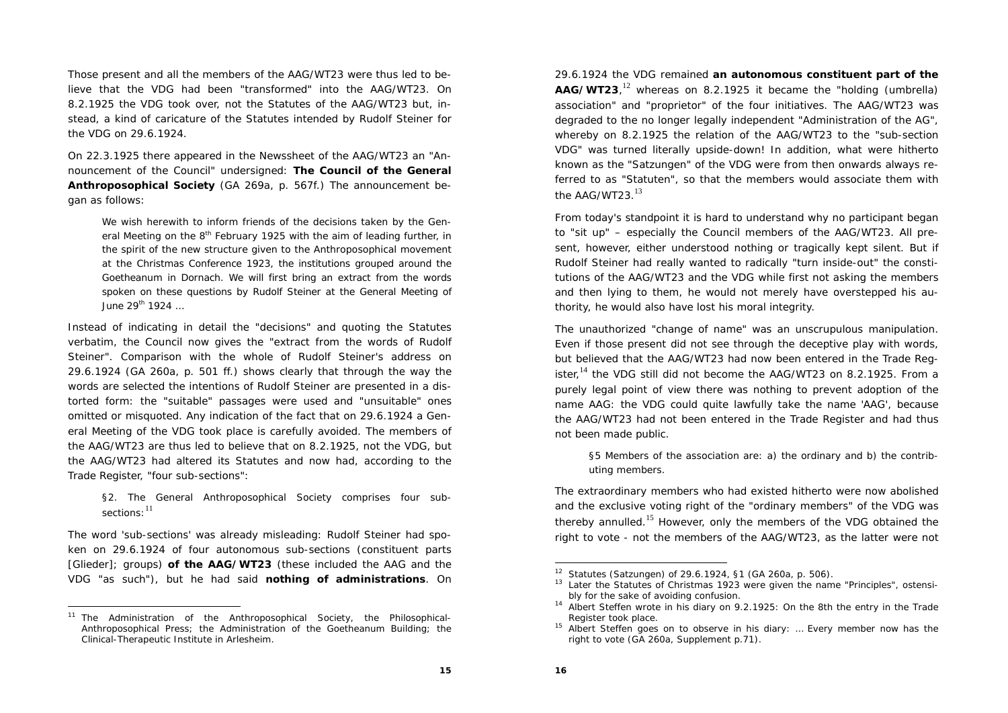Those present and all the members of the AAG/WT23 were thus led to believe that the VDG had been "transformed" into the AAG/WT23. On 8.2.1925 the VDG took over, not the Statutes of the AAG/WT23 but, instead, a kind of caricature of the Statutes intended by Rudolf Steiner for the VDG on 29.6.1924.

On 22.3.1925 there appeared in the Newssheet of the AAG/WT23 an "Announcement of the Council" undersigned: **The Council of the General Anthroposophical Society** (GA 269a, p. 567f.) The announcement began as follows:

We wish herewith to inform friends of the decisions taken by the General Meeting on the 8<sup>th</sup> February 1925 with the aim of leading further, in the spirit of the new structure given to the Anthroposophical movement at the Christmas Conference 1923, the institutions grouped around the Goetheanum in Dornach. We will first bring an extract from the words spoken on these questions by Rudolf Steiner at the General Meeting of June 29<sup>th</sup> 1924 …

Instead of indicating in detail the "decisions" and quoting the Statutes verbatim, the Council now gives the "extract from the words of Rudolf Steiner". Comparison with the whole of Rudolf Steiner's address on 29.6.1924 (GA 260a, p. 501 ff.) shows clearly that through the way the words are selected the intentions of Rudolf Steiner are presented in a distorted form: the "suitable" passages were used and "unsuitable" ones omitted or misquoted. Any indication of the fact that on 29.6.1924 a General Meeting of the VDG took place is carefully avoided. The members of the AAG/WT23 are thus led to believe that on 8.2.1925, not the VDG, but the AAG/WT23 had altered its Statutes and now had, according to the Trade Register, "four sub-sections":

§2. The General Anthroposophical Society comprises four subsections:  $^{11}$ 

The word 'sub-sections' was already misleading: Rudolf Steiner had spoken on 29.6.1924 of four autonomous sub-sections (constituent parts [Glieder]; groups) **of the AAG/WT23** (these included the AAG and the VDG "as such"), but he had said **nothing of administrations**. On

29.6.1924 the VDG remained **an autonomous constituent part of the AAG/WT23**,<sup>12</sup> whereas on 8.2.1925 it became the "holding (umbrella) association" and "proprietor" of the four initiatives. The AAG/WT23 was degraded to the no longer legally independent "Administration of the AG", whereby on 8.2.1925 the relation of the AAG/WT23 to the "sub-section VDG" was turned literally upside-down! In addition, what were hitherto known as the "Satzungen" of the VDG were from then onwards always referred to as "Statuten", so that the members would associate them with the AAG/WT23. $^{13}$ 

From today's standpoint it is hard to understand why no participant began to "sit up" – especially the Council members of the AAG/WT23. All present, however, either understood nothing or tragically kept silent. But if Rudolf Steiner had really wanted to radically "turn inside-out" the constitutions of the AAG/WT23 and the VDG while first not asking the members and then lying to them, he would not merely have overstepped his authority, he would also have lost his moral integrity.

The unauthorized "change of name" was an unscrupulous manipulation. Even if those present did not see through the deceptive play with words, but believed that the AAG/WT23 had now been entered in the Trade Register.<sup>14</sup> the VDG still did not become the AAG/WT23 on 8.2.1925. From a purely legal point of view there was nothing to prevent adoption of the name AAG: the VDG could quite lawfully take the name 'AAG', because the AAG/WT23 had not been entered in the Trade Register and had thus not been made public.

§5 Members of the association are: a) the ordinary and b) the contributing members.

The extraordinary members who had existed hitherto were now abolished and the exclusive voting right of the "ordinary members" of the VDG was thereby annulled.<sup>15</sup> However, only the members of the VDG obtained the right to vote - not the members of the AAG/WT23, as the latter were not

The Administration of the Anthroposophical Society, the Philosophical-Anthroposophical Press; the Administration of the Goetheanum Building; the Clinical-Therapeutic Institute in Arlesheim.

<sup>12</sup> Statutes (Satzungen) of 29.6.1924, §1 (GA 260a, p. 506).

<sup>&</sup>lt;sup>13</sup> Later the Statutes of Christmas 1923 were given the name "Principles", ostensibly for the sake of avoiding confusion.

<sup>14</sup> Albert Steffen wrote in his diary on 9.2.1925: *On the 8th the entry in the Trade Register took place.*

<sup>15</sup> Albert Steffen goes on to observe in his diary: *… Every member now has the right to vote* (GA 260a, Supplement p.71).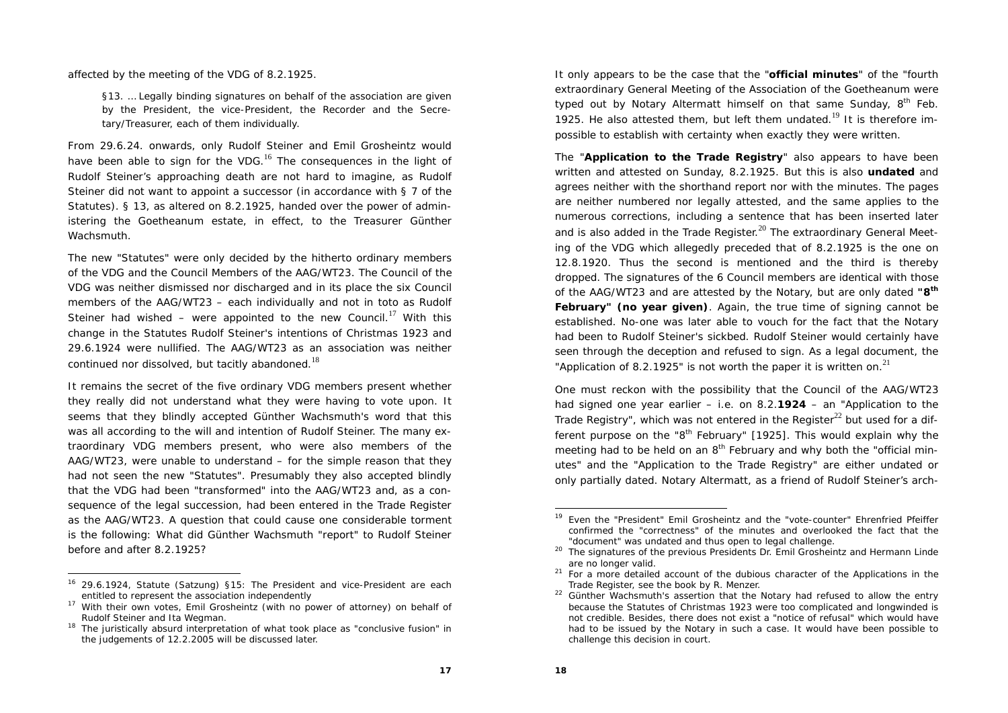affected by the meeting of the VDG of 8.2.1925.

§13. … Legally binding signatures on behalf of the association are given by the President, the vice-President, the Recorder and the Secretary/Treasurer, each of them individually.

From 29.6.24. onwards, only Rudolf Steiner and Emil Grosheintz would have been able to sign for the VDG.<sup>16</sup> The consequences in the light of Rudolf Steiner's approaching death are not hard to imagine, as Rudolf Steiner did not want to appoint a successor (in accordance with § 7 of the Statutes). § 13, as altered on 8.2.1925, handed over the power of administering the Goetheanum estate, in effect, to the Treasurer Günther Wachsmuth.

The new "Statutes" were only decided by the hitherto ordinary members of the VDG and the Council Members of the AAG/WT23. The Council of the VDG was neither dismissed nor discharged and in its place the six Council members of the AAG/WT23 – each individually and not in toto as Rudolf Steiner had wished – were appointed to the new Council.<sup>17</sup> With this change in the Statutes Rudolf Steiner's intentions of Christmas 1923 and 29.6.1924 were nullified. The AAG/WT23 as an association was neither continued nor dissolved, but tacitly abandoned.<sup>18</sup>

It remains the secret of the five ordinary VDG members present whether they really did not understand what they were having to vote upon. It seems that they blindly accepted Günther Wachsmuth's word that this was all according to the will and intention of Rudolf Steiner. The many extraordinary VDG members present, who were also members of the AAG/WT23, were unable to understand – for the simple reason that they had not seen the new "Statutes". Presumably they also accepted blindly that the VDG had been "transformed" into the AAG/WT23 and, as a consequence of the legal succession, had been entered in the Trade Register as the AAG/WT23. A question that could cause one considerable torment is the following: What did Günther Wachsmuth "report" to Rudolf Steiner before and after 8.2.1925?

16 29.6.1924, Statute (Satzung) §15: The President and vice-President are each entitled to represent the association independently

It only appears to be the case that the "**official minutes**" of the "fourth extraordinary General Meeting of the Association of the Goetheanum were typed out by Notary Altermatt himself on that same Sunday,  $8<sup>th</sup>$  Feb. 1925. He also attested them, but left them undated.<sup>19</sup> It is therefore impossible to establish with certainty when exactly they were written.

The "**Application to the Trade Registry**" also appears to have been written and attested on Sunday, 8.2.1925. But this is also **undated** and agrees neither with the shorthand report nor with the minutes. The pages are neither numbered nor legally attested, and the same applies to the numerous corrections, including a sentence that has been inserted later and is also added in the Trade Register. $^{20}$  The extraordinary General Meeting of the VDG which allegedly preceded that of 8.2.1925 is the one on 12.8.1920. Thus the second is mentioned and the third is thereby dropped. The signatures of the 6 Council members are identical with those of the AAG/WT23 and are attested by the Notary, but are only dated **"8th February" (no year given)**. Again, the true time of signing cannot be established. No-one was later able to vouch for the fact that the Notary had been to Rudolf Steiner's sickbed. Rudolf Steiner would certainly have seen through the deception and refused to sign. As a legal document, the "Application of 8.2.1925" is not worth the paper it is written on. $^{21}$ 

One must reckon with the possibility that the Council of the AAG/WT23 had signed one year earlier – i.e. on 8.2.**1924** – an "Application to the Trade Registry", which was not entered in the Register<sup>22</sup> but used for a different purpose on the " $8<sup>th</sup>$  February" [1925]. This would explain why the meeting had to be held on an 8<sup>th</sup> February and why both the "official minutes" and the "Application to the Trade Registry" are either undated or only partially dated. Notary Altermatt, as a friend of Rudolf Steiner's arch-

<sup>17</sup> With their own votes, Emil Grosheintz (with no power of attorney) on behalf of Rudolf Steiner and Ita Wegman.

<sup>&</sup>lt;sup>18</sup> The juristically absurd interpretation of what took place as "conclusive fusion" in the judgements of 12.2.2005 will be discussed later.

<sup>&</sup>lt;sup>19</sup> Even the "President" Emil Grosheintz and the "vote-counter" Ehrenfried Pfeiffer confirmed the "correctness" of the minutes and overlooked the fact that the "document" was undated and thus open to legal challenge.

<sup>&</sup>lt;sup>20</sup> The signatures of the previous Presidents Dr. Emil Grosheintz and Hermann Linde are no longer valid.

 $21$  For a more detailed account of the dubious character of the Applications in the Trade Register, see the book by R. Menzer.

<sup>&</sup>lt;sup>22</sup> Günther Wachsmuth's assertion that the Notary had refused to allow the entry because the Statutes of Christmas 1923 were *too complicated and longwinded* is not credible. Besides, there does not exist a "notice of refusal" which would have had to be issued by the Notary in such a case. It would have been possible to challenge this decision in court.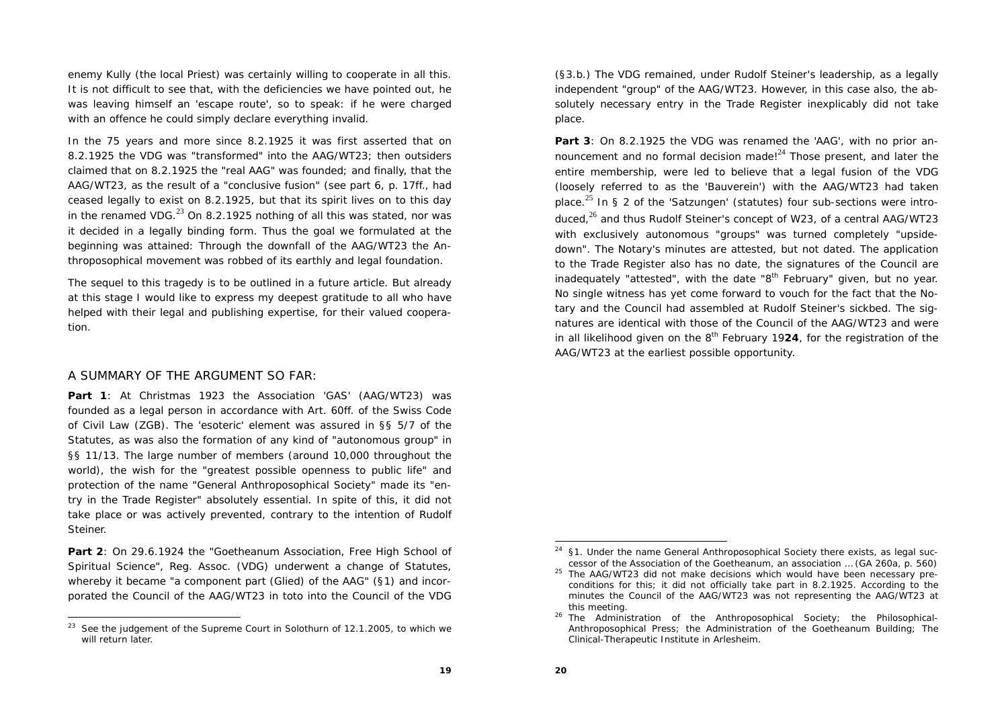enemy Kully (the local Priest) was certainly willing to cooperate in all this. It is not difficult to see that, with the deficiencies we have pointed out, he was leaving himself an 'escape route', so to speak: if he were charged with an offence he could simply declare everything invalid.

In the 75 years and more since 8.2.1925 it was first asserted that on 8.2.1925 the VDG was "transformed" into the AAG/WT23; then outsiders claimed that on 8.2.1925 the "real AAG" was founded; and finally, that the AAG/WT23, as the result of a "conclusive fusion" (see part 6, p. 17ff., had ceased legally to exist on 8.2.1925, but that its spirit lives on to this day in the renamed VDG. $^{23}$  On 8.2.1925 nothing of all this was stated, nor was it decided in a legally binding form. Thus the goal we formulated at the beginning was attained: Through the downfall of the AAG/WT23 the Anthroposophical movement was robbed of its earthly and legal foundation.

The sequel to this tragedy is to be outlined in a future article. But already at this stage I would like to express my deepest gratitude to all who have helped with their legal and publishing expertise, for their valued cooperation.

#### A SUMMARY OF THE ARGUMENT SO FAR:

**Part 1**: At Christmas 1923 the Association 'GAS' (AAG/WT23) was founded as a legal person in accordance with Art. 60ff. of the Swiss Code of Civil Law (ZGB). The 'esoteric' element was assured in §§ 5/7 of the Statutes, as was also the formation of any kind of "autonomous group" in §§ 11/13. The large number of members (around 10,000 throughout the world), the wish for the "greatest possible openness to public life" and protection of the name "General Anthroposophical Society" made its "entry in the Trade Register" absolutely essential. In spite of this, it did not take place or was actively prevented, contrary to the intention of Rudolf Steiner.

**Part 2**: On 29.6.1924 the "Goetheanum Association, Free High School of Spiritual Science", Reg. Assoc. (VDG) underwent a change of Statutes, whereby it became "a component part (Glied) of the AAG" (§1) and incorporated the Council of the AAG/WT23 in toto into the Council of the VDG (§3.b.) The VDG remained, under Rudolf Steiner's leadership, as a legally independent "group" of the AAG/WT23. However, in this case also, the absolutely necessary entry in the Trade Register inexplicably did not take place.

**Part 3**: On 8.2.1925 the VDG was renamed the 'AAG', with no prior announcement and no formal decision made!<sup>24</sup> Those present, and later the entire membership, were led to believe that a legal fusion of the VDG (loosely referred to as the 'Bauverein') with the AAG/WT23 had taken place.<sup>25</sup> In § 2 of the 'Satzungen' (statutes) four sub-sections were introduced, $26$  and thus Rudolf Steiner's concept of W23, of a central AAG/WT23 with exclusively autonomous "groups" was turned completely "upsidedown". The Notary's minutes are attested, but not dated. The application to the Trade Register also has no date, the signatures of the Council are inadequately "attested", with the date " $8<sup>th</sup>$  February" given, but no year. No single witness has yet come forward to vouch for the fact that the Notary and the Council had assembled at Rudolf Steiner's sickbed. The signatures are identical with those of the Council of the AAG/WT23 and were in all likelihood given on the  $8<sup>th</sup>$  February 1924, for the registration of the AAG/WT23 at the earliest possible opportunity.

 $23$  See the judgement of the Supreme Court in Solothurn of 12.1.2005, to which we will return later.

 $24$  §1. Under the name General Anthroposophical Society there exists, as legal successor of the Association of the Goetheanum, an association … (GA 260a, p. 560)

 $25$  The AAG/WT23 did not make decisions which would have been necessary preconditions for this; it did not officially take part in 8.2.1925. According to the minutes the Council of the AAG/WT23 was not representing the AAG/WT23 at this meeting.

<sup>&</sup>lt;sup>26</sup> The Administration of the Anthroposophical Society; the Philosophical-Anthroposophical Press; the Administration of the Goetheanum Building; The Clinical-Therapeutic Institute in Arlesheim.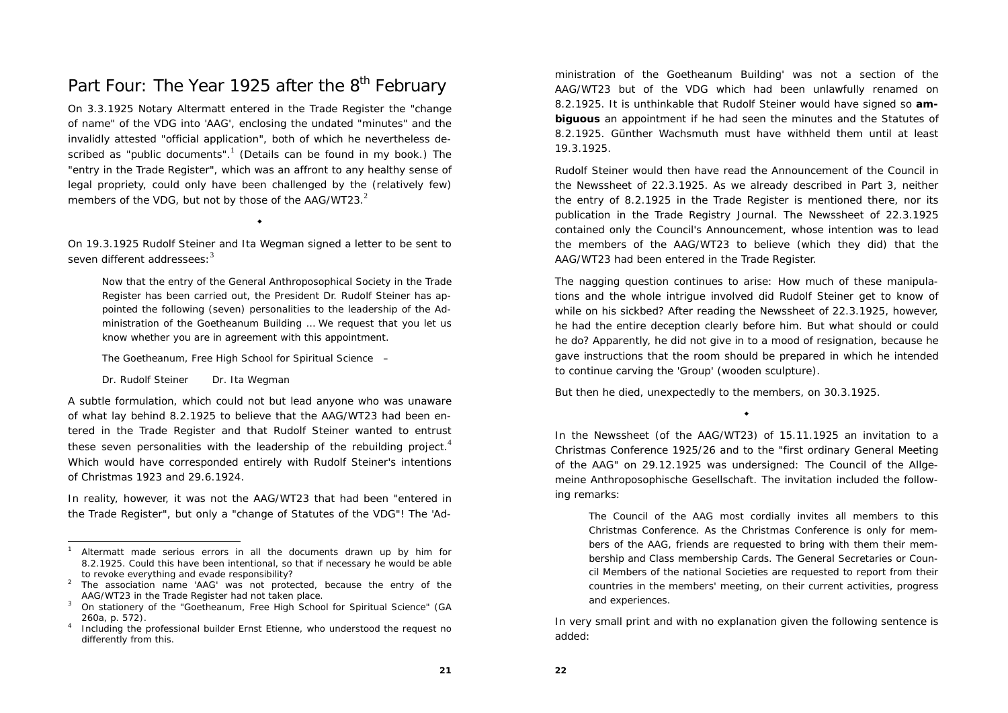## Part Four: The Year 1925 after the 8<sup>th</sup> February

On 3.3.1925 Notary Altermatt entered in the Trade Register the "change of name" of the VDG into 'AAG', enclosing the undated "minutes" and the invalidly attested "official application", both of which he nevertheless described as "public documents".<sup>1</sup> (Details can be found in my book.) The "entry in the Trade Register", which was an affront to any healthy sense of legal propriety, could only have been challenged by the (relatively few) members of the VDG, but not by those of the  $AAG/WT23.<sup>2</sup>$ 

On 19.3.1925 Rudolf Steiner and Ita Wegman signed a letter to be sent to seven different addressees: $3$ 

٠

Now that the entry of the General Anthroposophical Society in the Trade Register has been carried out, the President Dr. Rudolf Steiner has appointed the following (seven) personalities to the leadership of the Administration of the Goetheanum Building … We request that you let us know whether you are in agreement with this appointment.

The Goetheanum, Free High School for Spiritual Science –

*Dr. Rudolf Steiner Dr. Ita Wegman*

A subtle formulation, which could not but lead anyone who was unaware of what lay behind 8.2.1925 to believe that the AAG/WT23 had been entered in the Trade Register and that Rudolf Steiner wanted to entrust these seven personalities with the leadership of the rebuilding project.<sup>4</sup> Which would have corresponded entirely with Rudolf Steiner's intentions of Christmas 1923 and 29.6.1924.

In reality, however, it was not the AAG/WT23 that had been "entered in the Trade Register", but only a "change of Statutes of the VDG"! The 'Administration of the Goetheanum Building' was not a section of the AAG/WT23 but of the VDG which had been unlawfully renamed on 8.2.1925. It is unthinkable that Rudolf Steiner would have signed so **ambiguous** an appointment if he had seen the minutes and the Statutes of 8.2.1925. Günther Wachsmuth must have withheld them until at least 19.3.1925.

Rudolf Steiner would then have read the Announcement of the Council in the Newssheet of 22.3.1925. As we already described in Part 3, neither the *entry* of 8.2.1925 in the Trade Register is mentioned there, nor its publication in the Trade Registry Journal. The Newssheet of 22.3.1925 contained only the Council's Announcement, whose intention was to lead the members of the AAG/WT23 to believe (which they did) that the AAG/WT23 had been entered in the Trade Register.

The nagging question continues to arise: How much of these manipulations and the whole intrigue involved did Rudolf Steiner get to know of while on his sickbed? After reading the Newssheet of 22.3.1925, however, he had the entire deception clearly before him. But what should or could he do? Apparently, he did not give in to a mood of resignation, because he gave instructions that the room should be prepared in which he intended to continue carving the 'Group' (wooden sculpture).

But then he died, unexpectedly to the members, on 30.3.1925.

In the Newssheet (of the AAG/WT23) of 15.11.1925 an invitation to a Christmas Conference 1925/26 and to the "first ordinary General Meeting of the AAG" on 29.12.1925 was undersigned: The Council of the Allgemeine Anthroposophische Gesellschaft. The invitation included the following remarks:

٠

The Council of the AAG most cordially invites all members to this Christmas Conference. As the Christmas Conference is only for members of the AAG, friends are requested to bring with them their membership and Class membership Cards. The General Secretaries or Council Members of the national Societies are requested to report from their countries in the members' meeting, on their current activities, progress and experiences.

In very small print and with no explanation given the following sentence is added:

<sup>1</sup> Altermatt made serious errors in all the documents drawn up by him for 8.2.1925. Could this have been intentional, so that if necessary he would be able to revoke everything and evade responsibility?

<sup>&</sup>lt;sup>2</sup> The association name 'AAG' was not protected, because the entry of the AAG/WT23 in the Trade Register had not taken place.

<sup>&</sup>lt;sup>3</sup> On stationery of the "Goetheanum, Free High School for Spiritual Science" (GA 260a, p. 572).

<sup>4</sup> Including the professional builder Ernst Etienne, who understood the request no differently from this.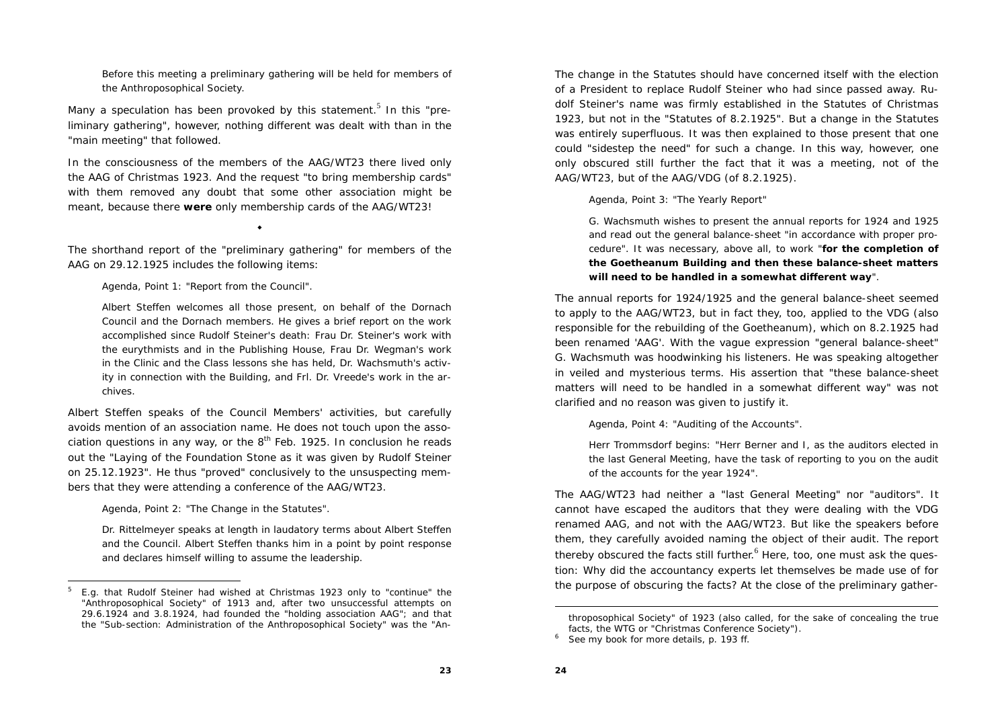Before this meeting a preliminary gathering will be held for members of the Anthroposophical Society.

Many a speculation has been provoked by this statement.<sup>5</sup> In this "preliminary gathering", however, nothing different was dealt with than in the "main meeting" that followed.

In the consciousness of the members of the AAG/WT23 there lived only the AAG of Christmas 1923. And the request "to bring membership cards" with them removed any doubt that some other association might be meant, because there **were** only membership cards of the AAG/WT23!

The shorthand report of the "preliminary gathering" for members of the AAG on 29.12.1925 includes the following items:

٠

Agenda, Point 1: "Report from the Council".

Albert Steffen welcomes all those present, on behalf of the Dornach Council and the Dornach members. He gives a brief report on the work accomplished since Rudolf Steiner's death: Frau Dr. Steiner's work with the eurythmists and in the Publishing House, Frau Dr. Wegman's work in the Clinic and the Class lessons she has held, Dr. Wachsmuth's activity in connection with the Building, and Frl. Dr. Vreede's work in the archives.

Albert Steffen speaks of the Council Members' activities, but carefully avoids mention of an association name. He does not touch upon the association questions in any way, or the  $8<sup>th</sup>$  Feb. 1925. In conclusion he reads out the "Laying of the Foundation Stone as it was given by Rudolf Steiner on 25.12.1923". He thus "proved" conclusively to the unsuspecting members that they were attending a conference of the AAG/WT23.

Agenda, Point 2: "The Change in the Statutes".

Dr. Rittelmeyer speaks at length in laudatory terms about Albert Steffen and the Council. Albert Steffen thanks him in a point by point response and declares himself willing to assume the leadership.

The change in the Statutes should have concerned itself with the election of a President to replace Rudolf Steiner who had since passed away. Rudolf Steiner's name was firmly established in the Statutes of Christmas 1923, but not in the "Statutes of 8.2.1925". But a change in the Statutes was entirely superfluous. It was then explained to those present that one could "sidestep the need" for such a change. In this way, however, one only obscured still further the fact that it was a meeting, not of the AAG/WT23, but of the AAG/VDG (of 8.2.1925).

Agenda, Point 3: "The Yearly Report"

G. Wachsmuth wishes to present the annual reports for 1924 and 1925 and read out the general balance-sheet "in accordance with proper procedure". It was necessary, above all, to work "**for the completion of the Goetheanum Building and then these balance-sheet matters will need to be handled in a somewhat different way**".

The annual reports for 1924/1925 and the general balance-sheet seemed to apply to the AAG/WT23, but in fact they, too, applied to the VDG (also responsible for the rebuilding of the Goetheanum), which on 8.2.1925 had been renamed 'AAG'. With the vague expression "general balance-sheet" G. Wachsmuth was hoodwinking his listeners. He was speaking altogether in veiled and mysterious terms. His assertion that "these balance-sheet matters will need to be handled in a somewhat different way" was not clarified and no reason was given to justify it.

Agenda, Point 4: "Auditing of the Accounts".

Herr Trommsdorf begins: "Herr Berner and I, as the auditors elected in the last General Meeting, have the task of reporting to you on the audit of the accounts for the year 1924".

The AAG/WT23 had neither a "last General Meeting" nor "auditors". It cannot have escaped the auditors that they were dealing with the VDG renamed AAG, and not with the AAG/WT23. But like the speakers before them, they carefully avoided naming the object of their audit. The report thereby obscured the facts still further.<sup>6</sup> Here, too, one must ask the question: Why did the accountancy experts let themselves be made use of for the purpose of obscuring the facts? At the close of the preliminary gather-

<sup>5</sup> E.g. that Rudolf Steiner had wished at Christmas 1923 only to "continue" the "Anthroposophical Society" of 1913 and, after two unsuccessful attempts on 29.6.1924 and 3.8.1924, had founded the "holding association AAG"; and that the "Sub-section: Administration of the Anthroposophical Society" was the "An-

throposophical Society" of 1923 (also called, for the sake of concealing the true facts, the WTG or "Christmas Conference Society").<br><sup>6</sup> See my book for more details, p. 193 ff.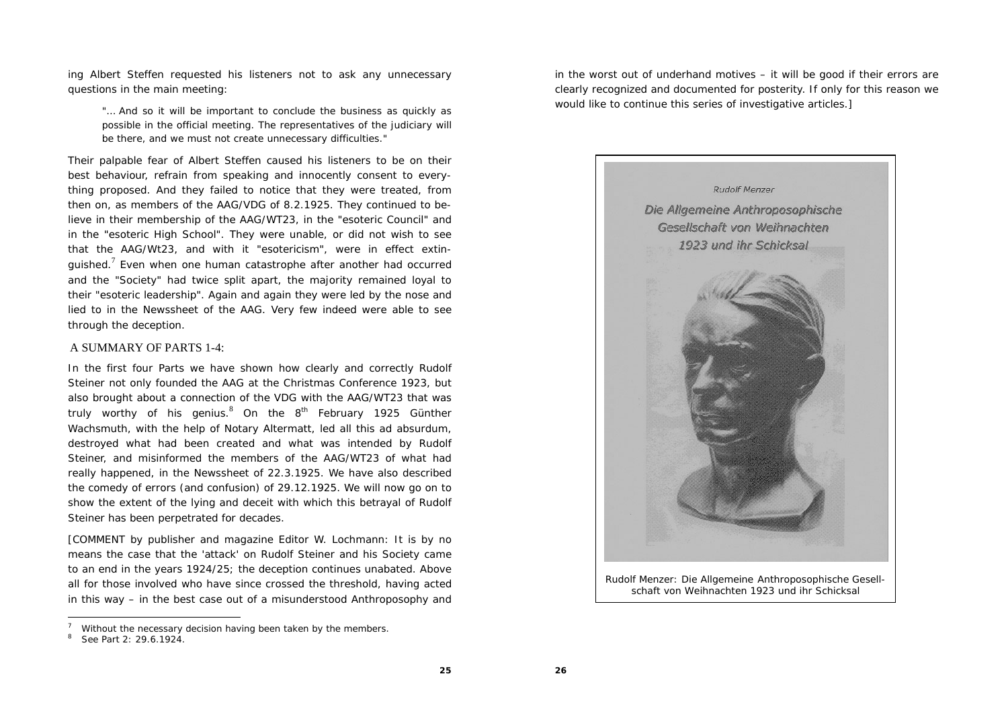ing Albert Steffen requested his listeners not to ask any unnecessary questions in the main meeting:

"… And so it will be important to conclude the business as quickly as possible in the official meeting. The representatives of the judiciary will be there, and we must not create unnecessary difficulties."

Their palpable fear of Albert Steffen caused his listeners to be on their best behaviour, refrain from speaking and innocently consent to everything proposed. And they failed to notice that they were treated, from then on, as members of the AAG/VDG of 8.2.1925. They continued to believe in their membership of the AAG/WT23, in the "esoteric Council" and in the "esoteric High School". They were unable, or did not wish to see that the AAG/Wt23, and with it "esotericism", were in effect extinguished.<sup>7</sup> Even when one human catastrophe after another had occurred and the "Society" had twice split apart, the majority remained loyal to their "esoteric leadership". Again and again they were led by the nose and lied to in the Newssheet of the AAG. Very few indeed were able to see through the deception.

#### A SUMMARY OF PARTS 1-4:

In the first four Parts we have shown how clearly and correctly Rudolf Steiner not only founded the AAG at the Christmas Conference 1923, but also brought about a connection of the VDG with the AAG/WT23 that was truly worthy of his genius. $8$  On the  $8<sup>th</sup>$  February 1925 Günther Wachsmuth, with the help of Notary Altermatt, led all this ad absurdum, destroyed what had been created and what was intended by Rudolf Steiner, and misinformed the members of the AAG/WT23 of what had really happened, in the Newssheet of 22.3.1925. We have also described the comedy of errors (and confusion) of 29.12.1925. We will now go on to show the extent of the lying and deceit with which this betrayal of Rudolf Steiner has been perpetrated for decades.

[COMMENT by publisher and magazine Editor W. Lochmann: It is by no means the case that the 'attack' on Rudolf Steiner and his Society came to an end in the years 1924/25; the deception continues unabated. Above all for those involved who have since crossed the threshold, having acted in this way – in the best case out of a misunderstood Anthroposophy and in the worst out of underhand motives – it will be good if their errors are clearly recognized and documented for posterity. If only for this reason we would like to continue this series of investigative articles.]



*schaft von Weihnachten 1923 und ihr Schicksal*

**25**

Without the necessary decision having been taken by the members.

 $8^8$  See Part 2: 29.6.1924.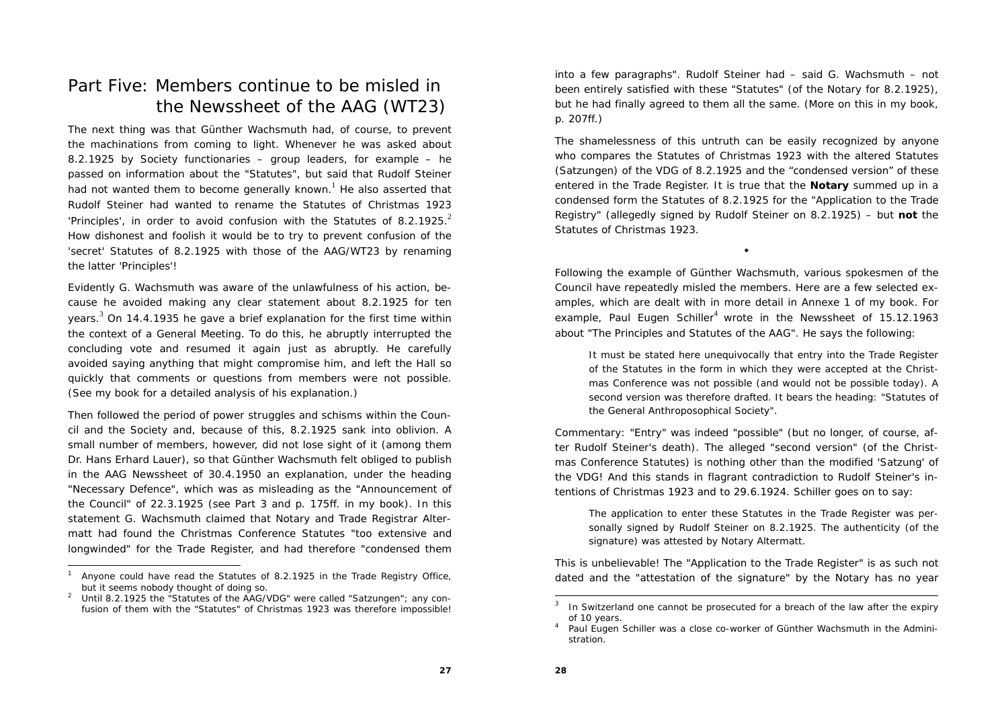## Part Five: Members continue to be misled in the Newssheet of the AAG (WT23)

The next thing was that Günther Wachsmuth had, of course, to prevent the machinations from coming to light. Whenever he was asked about 8.2.1925 by Society functionaries – group leaders, for example – he passed on information about the "Statutes", but said that Rudolf Steiner had not wanted them to become generally known.<sup>1</sup> He also asserted that Rudolf Steiner had wanted to rename the Statutes of Christmas 1923 'Principles', in order to avoid confusion with the Statutes of 8.2.1925. $<sup>2</sup>$ </sup> How dishonest and foolish it would be to try to prevent confusion of the 'secret' Statutes of 8.2.1925 with those of the AAG/WT23 by renaming the latter 'Principles'!

Evidently G. Wachsmuth was aware of the unlawfulness of his action, because he avoided making any clear statement about 8.2.1925 for ten years.<sup>3</sup> On 14.4.1935 he gave a brief explanation for the first time within the context of a General Meeting. To do this, he abruptly interrupted the concluding vote and resumed it again just as abruptly. He carefully avoided saying anything that might compromise him, and left the Hall so quickly that comments or questions from members were not possible. (See my book for a detailed analysis of his explanation.)

Then followed the period of power struggles and schisms within the Council and the Society and, because of this, 8.2.1925 sank into oblivion. A small number of members, however, did not lose sight of it (among them Dr. Hans Erhard Lauer), so that Günther Wachsmuth felt obliged to publish in the AAG Newssheet of 30.4.1950 an explanation, under the heading "Necessary Defence", which was as misleading as the "Announcement of the Council" of 22.3.1925 (see Part 3 and p. 175ff. in my book). In this statement G. Wachsmuth claimed that Notary and Trade Registrar Altermatt had found the Christmas Conference Statutes "too extensive and longwinded" for the Trade Register, and had therefore "condensed them

into a few paragraphs". Rudolf Steiner had – said G. Wachsmuth – not been entirely satisfied with these "Statutes" (of the Notary for 8.2.1925), but he had finally agreed to them all the same. (More on this in my book, p. 207ff.)

The shamelessness of this untruth can be easily recognized by anyone who compares the Statutes of Christmas 1923 with the altered Statutes (Satzungen) of the VDG of 8.2.1925 and the "condensed version" of these entered in the Trade Register. It is true that the **Notary** summed up in a condensed form the Statutes of 8.2.1925 for the "Application to the Trade Registry" (allegedly signed by Rudolf Steiner on 8.2.1925) – but **not** the Statutes of Christmas 1923.

Following the example of Günther Wachsmuth, various spokesmen of the Council have repeatedly misled the members. Here are a few selected examples, which are dealt with in more detail in Annexe 1 of my book. For example, Paul Eugen Schiller<sup>4</sup> wrote in the Newssheet of  $15.12.1963$ about "The Principles and Statutes of the AAG". He says the following:

 $\bullet$ 

It must be stated here unequivocally that entry into the Trade Register of the Statutes in the form in which they were accepted at the Christmas Conference was not possible (and would not be possible today). A second version was therefore drafted. It bears the heading: "Statutes of the General Anthroposophical Society".

*Commentary:* "Entry" was indeed "possible" (but no longer, of course, after Rudolf Steiner's death). The alleged "second version" (of the Christmas Conference Statutes) is nothing other than the modified 'Satzung' of the VDG! And this stands in flagrant contradiction to Rudolf Steiner's intentions of Christmas 1923 and to 29.6.1924. Schiller goes on to say:

The application to enter these Statutes in the Trade Register was personally signed by Rudolf Steiner on 8.2.1925. The authenticity (of the signature) was attested by Notary Altermatt.

This is unbelievable! The "Application to the Trade Register" is as such not dated and the "attestation of the signature" by the Notary has no year

Anyone could have read the Statutes of 8.2.1925 in the Trade Registry Office, but it seems nobody thought of doing so.<br><sup>2</sup> Until 8.2.1925 the "Statutes of the AAG/VDG" were called "Satzungen"; any con-

fusion of them with the "Statutes" of Christmas 1923 was therefore impossible!

In Switzerland one cannot be prosecuted for a breach of the law after the expiry of 10 years.<br><sup>4</sup> Paul Eugen Schiller was a close co-worker of Günther Wachsmuth in the Admini-

stration.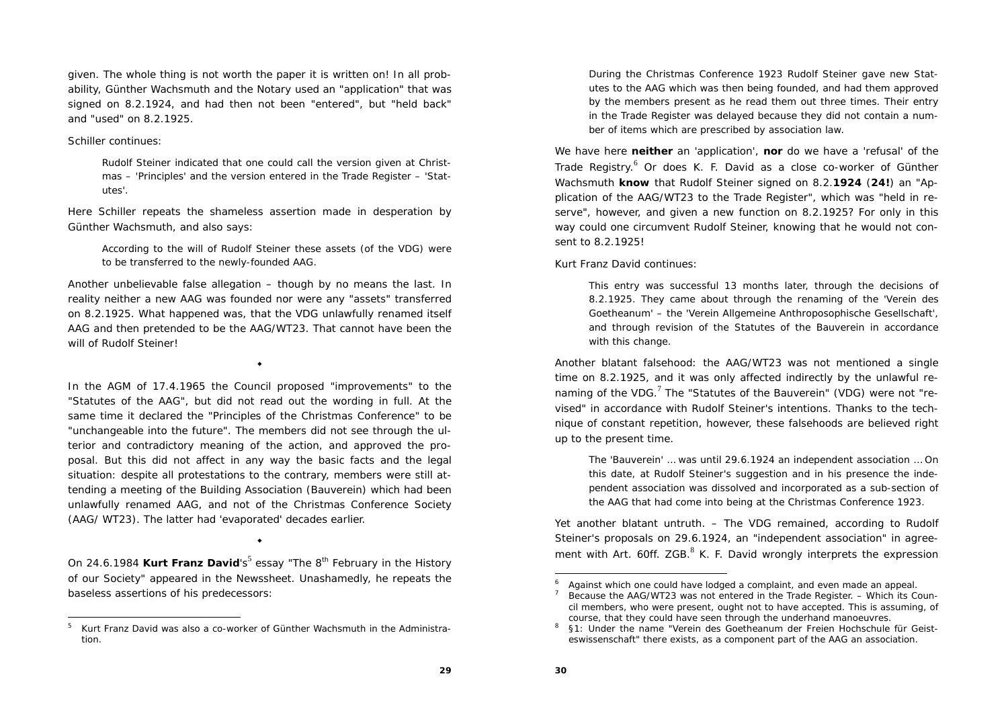given. The whole thing is not worth the paper it is written on! In all probability, Günther Wachsmuth and the Notary used an "application" that was signed on 8.2.1924, and had then not been "entered", but "held back" and "used" on 8.2.1925.

#### Schiller continues:

Rudolf Steiner indicated that one could call the version given at Christmas – 'Principles' and the version entered in the Trade Register – 'Statutes'.

Here Schiller repeats the shameless assertion made in desperation by Günther Wachsmuth, and also says:

According to the will of Rudolf Steiner these assets (of the VDG) were to be transferred to the newly-founded AAG.

Another unbelievable false allegation – though by no means the last. In reality neither a new AAG was founded nor were any "assets" transferred on 8.2.1925. What happened was, that the VDG unlawfully renamed itself AAG and then pretended to be the AAG/WT23. That cannot have been the will of Rudolf Steiner!

٠

In the AGM of 17.4.1965 the Council proposed "improvements" to the "Statutes of the AAG", but did not read out the wording in full. At the same time it declared the "Principles of the Christmas Conference" to be "unchangeable into the future". The members did not see through the ulterior and contradictory meaning of the action, and approved the proposal. But this did not affect in any way the basic facts and the legal situation: despite all protestations to the contrary, members were still attending a meeting of the Building Association (Bauverein) which had been unlawfully renamed AAG, and not of the Christmas Conference Society (AAG/ WT23). The latter had 'evaporated' decades earlier.

On 24.6.1984 **Kurt Franz David**'s<sup>5</sup> essay "The 8<sup>th</sup> February in the History of our Society" appeared in the Newssheet. Unashamedly, he repeats the baseless assertions of his predecessors:

۰

During the Christmas Conference 1923 Rudolf Steiner gave new Statutes to the AAG which was then being founded, and had them approved by the members present as he read them out three times. Their entry in the Trade Register was delayed because they did not contain a number of items which are prescribed by association law.

We have here **neither** an 'application', **nor** do we have a 'refusal' of the Trade Registry.<sup>6</sup> Or does K. F. David as a close co-worker of Günther Wachsmuth **know** that Rudolf Steiner signed on 8.2.**1924** (**24!**) an "Application of the AAG/WT23 to the Trade Register", which was "held in reserve", however, and given a new function on 8.2.1925? For only in this way could one circumvent Rudolf Steiner, knowing that he would not consent to 8.2.1925!

Kurt Franz David continues:

This entry was successful 13 months later, through the decisions of 8.2.1925. They came about through the renaming of the 'Verein des Goetheanum' – the 'Verein Allgemeine Anthroposophische Gesellschaft', and through revision of the Statutes of the Bauverein in accordance with this change.

Another blatant falsehood: the AAG/WT23 was not mentioned a single time on 8.2.1925, and it was only affected indirectly by the unlawful renaming of the VDG.<sup>7</sup> The "Statutes of the Bauverein" (VDG) were not "revised" in accordance with Rudolf Steiner's intentions. Thanks to the technique of constant repetition, however, these falsehoods are believed right up to the present time.

The 'Bauverein' … was until 29.6.1924 an independent association … On this date, at Rudolf Steiner's suggestion and in his presence the independent association was dissolved and incorporated as a sub-section of the AAG that had come into being at the Christmas Conference 1923.

Yet another blatant untruth. – The VDG remained, according to Rudolf Steiner's proposals on 29.6.1924, an "independent association" in agreement with Art. 60ff.  $ZGB$ <sup>8</sup> K. F. David wrongly interprets the expression

 $5$  Kurt Franz David was also a co-worker of Günther Wachsmuth in the Administration.

Against which one could have lodged a complaint, and even made an appeal.

<sup>7</sup> Because the AAG/WT23 was not entered in the Trade Register. – Which its Council members, who were present, ought not to have accepted. This is assuming, of course, that they could have seen through the underhand manoeuvres.

<sup>8 §1:</sup> Under the name "Verein des Goetheanum der Freien Hochschule für Geisteswissenschaft" there exists, as a component part of the AAG an association.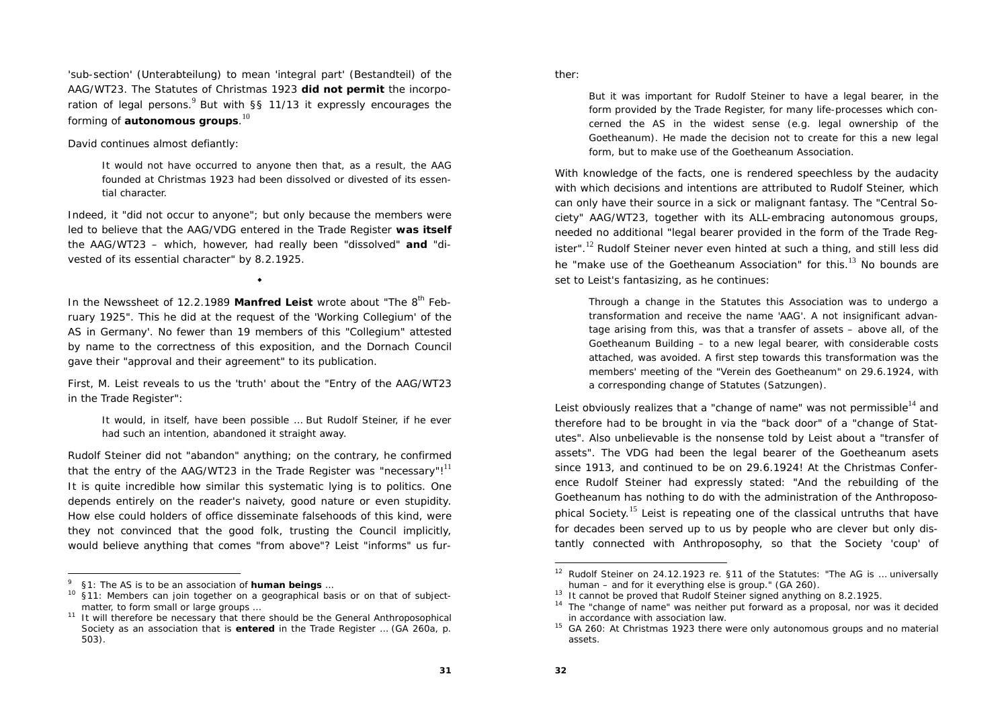'sub-section' (Unterabteilung) to mean 'integral part' (Bestandteil) of the AAG/WT23. The Statutes of Christmas 1923 **did not permit** the incorporation of legal persons. $9$  But with §§ 11/13 it expressly encourages the forming of **autonomous groups**.<sup>10</sup>

David continues almost defiantly:

It would not have occurred to anyone then that, as a result, the AAG founded at Christmas 1923 had been dissolved or divested of its essential character.

Indeed, it "did not occur to anyone"; but only because the members were led to believe that the AAG/VDG entered in the Trade Register **was itself**  the AAG/WT23 – which, however, had really been "dissolved" **and** "divested of its essential character" by 8.2.1925.

٠

In the Newssheet of 12.2.1989 Manfred Leist wrote about "The 8<sup>th</sup> February 1925". This he did at the request of the 'Working Collegium' of the AS in Germany'. No fewer than 19 members of this "Collegium" attested by name to the correctness of this exposition, and the Dornach Council gave their "approval and their agreement" to its publication.

First, M. Leist reveals to us the 'truth' about the "Entry of the AAG/WT23 in the Trade Register":

It would, in itself, have been possible … But Rudolf Steiner, if he ever had such an intention, abandoned it straight away.

Rudolf Steiner did not "abandon" anything; on the contrary, he confirmed that the entry of the AAG/WT23 in the Trade Register was "necessary"! $<sup>11</sup>$ </sup> It is quite incredible how similar this systematic lying is to politics. One depends entirely on the reader's naivety, good nature or even stupidity. How else could holders of office disseminate falsehoods of this kind, were they not convinced that the good folk, trusting the Council implicitly, would believe anything that comes "from above"? Leist "informs" us further:

But it was important for Rudolf Steiner to have a legal bearer, in the form provided by the Trade Register, for many life-processes which concerned the AS in the widest sense (e.g. legal ownership of the Goetheanum). He made the decision not to create for this a new legal form, but to make use of the Goetheanum Association.

With knowledge of the facts, one is rendered speechless by the audacity with which decisions and intentions are attributed to Rudolf Steiner, which can only have their source in a sick or malignant fantasy. The "Central Society" AAG/WT23, together with its ALL-embracing autonomous groups, needed no additional "legal bearer provided in the form of the Trade Register".<sup>12</sup> Rudolf Steiner never even hinted at such a thing, and still less did he "make use of the Goetheanum Association" for this. $13$  No bounds are set to Leist's fantasizing, as he continues:

Through a change in the Statutes this Association was to undergo a transformation and receive the name 'AAG'. A not insignificant advantage arising from this, was that a transfer of assets – above all, of the Goetheanum Building – to a new legal bearer, with considerable costs attached, was avoided. A first step towards this transformation was the members' meeting of the "Verein des Goetheanum" on 29.6.1924, with a corresponding change of Statutes (Satzungen).

Leist obviously realizes that a "change of name" was not permissible $14$  and therefore had to be brought in via the "back door" of a "change of Statutes". Also unbelievable is the nonsense told by Leist about a "transfer of assets". The VDG had been the legal bearer of the Goetheanum asets since 1913, and continued to be on 29.6.1924! At the Christmas Conference Rudolf Steiner had expressly stated: "And the rebuilding of the Goetheanum has nothing to do with the administration of the Anthroposophical Society.<sup>15</sup> Leist is repeating one of the classical untruths that have for decades been served up to us by people who are clever but only distantly connected with Anthroposophy, so that the Society 'coup' of

<sup>9 §1:</sup> The AS is to be an association of **human beings** …

<sup>10 §11:</sup> Members can join together on a geographical basis or on that of subjectmatter, to form small or large groups ...

<sup>11</sup> It will therefore be necessary that there should be the General Anthroposophical Society as an association that is **entered** in the Trade Register … (GA 260a, p. 503).

<sup>&</sup>lt;sup>12</sup> Rudolf Steiner on 24.12.1923 re. §11 of the Statutes: "The AG is ... universally human – and for it everything else is group." (GA 260).

 $13$  It cannot be proved that Rudolf Steiner signed anything on 8.2.1925.

<sup>&</sup>lt;sup>14</sup> The "change of name" was neither put forward as a proposal, nor was it decided in accordance with association law.

<sup>&</sup>lt;sup>15</sup> GA 260: At Christmas 1923 there were only autonomous groups and no material assets.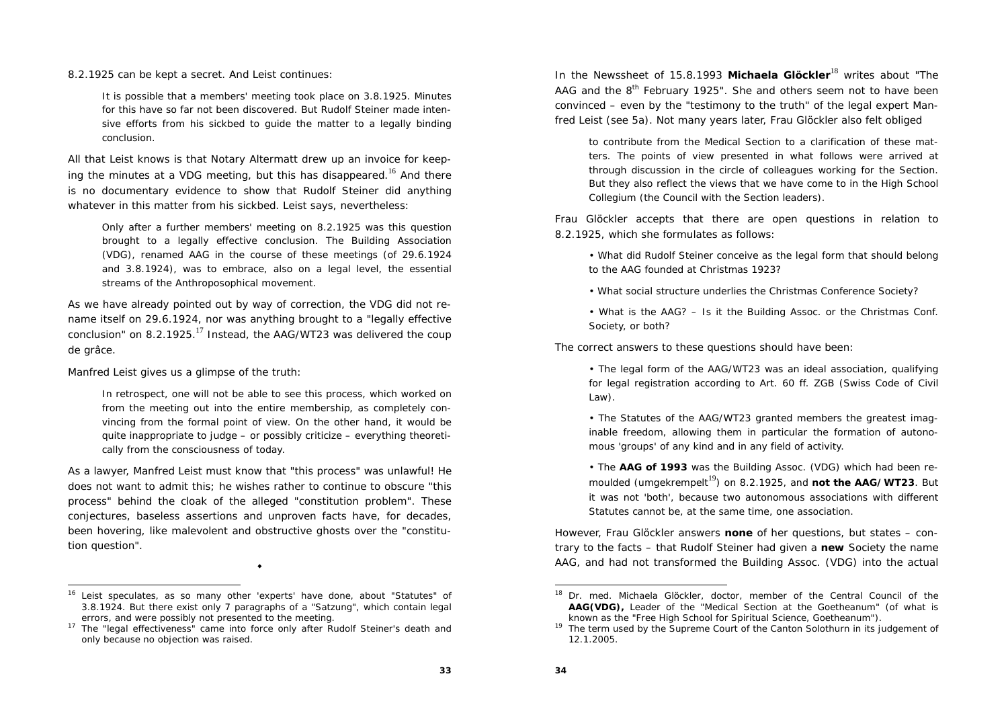8.2.1925 can be kept a secret. And Leist continues:

It is possible that a members' meeting took place on 3.8.1925. Minutes for this have so far not been discovered. But Rudolf Steiner made intensive efforts from his sickbed to guide the matter to a legally binding conclusion.

All that Leist knows is that Notary Altermatt drew up an invoice for keeping the minutes at a VDG meeting, but this has disappeared.<sup>16</sup> And there is no documentary evidence to show that Rudolf Steiner did anything whatever in this matter from his sickbed. Leist says, nevertheless:

Only after a further members' meeting on 8.2.1925 was this question brought to a legally effective conclusion. The Building Association (VDG), renamed AAG in the course of these meetings (of 29.6.1924 and 3.8.1924), was to embrace, also on a legal level, the essential streams of the Anthroposophical movement.

As we have already pointed out by way of correction, the VDG did not rename itself on 29.6.1924, nor was anything brought to a "legally effective conclusion" on 8.2.1925.<sup>17</sup> Instead, the AAG/WT23 was delivered the coup de grâce.

Manfred Leist gives us a glimpse of the truth:

In retrospect, one will not be able to see this process, which worked on from the meeting out into the entire membership, as completely convincing from the formal point of view. On the other hand, it would be quite inappropriate to judge – or possibly criticize – everything theoretically from the consciousness of today.

As a lawyer, Manfred Leist must know that "this process" was unlawful! He does not want to admit this; he wishes rather to continue to obscure "this process" behind the cloak of the alleged "constitution problem". These conjectures, baseless assertions and unproven facts have, for decades, been hovering, like malevolent and obstructive ghosts over the "constitution question".

۰

In the Newssheet of 15.8.1993 **Michaela Glöckler**18 writes about "The AAG and the  $8<sup>th</sup>$  February 1925". She and others seem not to have been convinced – even by the "testimony to the truth" of the legal expert Manfred Leist (see 5a). Not many years later, Frau Glöckler also felt obliged

to contribute from the Medical Section to a clarification of these matters. The points of view presented in what follows were arrived at through discussion in the circle of colleagues working for the Section. But they also reflect the views that we have come to in the High School Collegium (the Council with the Section leaders).

Frau Glöckler accepts that there are open questions in relation to 8.2.1925, which she formulates as follows:

• What did Rudolf Steiner conceive as the legal form that should belong to the AAG founded at Christmas 1923?

• What social structure underlies the Christmas Conference Society?

• What is the AAG? – Is it the Building Assoc. or the Christmas Conf. Society, or both?

The correct answers to these questions should have been:

• The legal form of the AAG/WT23 was an ideal association, qualifying for legal registration according to Art. 60 ff. ZGB (Swiss Code of Civil Law).

• The Statutes of the AAG/WT23 granted members the greatest imaginable freedom, allowing them in particular the formation of autonomous 'groups' of any kind and in any field of activity.

• The **AAG of 1993** was the Building Assoc. (VDG) which had been remoulded (umgekrempelt<sup>19</sup>) on 8.2.1925, and **not the AAG/WT23**. But it was not 'both', because two autonomous associations with different Statutes cannot be, at the same time, one association.

However, Frau Glöckler answers **none** of her questions, but states – contrary to the facts – that Rudolf Steiner had given a **new** Society the name AAG, and had not transformed the Building Assoc. (VDG) into the actual

<sup>16</sup> Leist speculates, as so many other 'experts' have done, about "Statutes" of 3.8.1924. But there exist only 7 paragraphs of a "Satzung", which contain legal errors, and were possibly not presented to the meeting.

<sup>&</sup>lt;sup>17</sup> The "legal effectiveness" came into force only after Rudolf Steiner's death and only because no objection was raised.

<sup>&</sup>lt;sup>18</sup> Dr. med. Michaela Glöckler, doctor, member of the Central Council of the **AAG(VDG),** Leader of the "Medical Section at the Goetheanum" (of what is known as the "Free High School for Spiritual Science, Goetheanum").

 $19$  The term used by the Supreme Court of the Canton Solothurn in its judgement of 12.1.2005.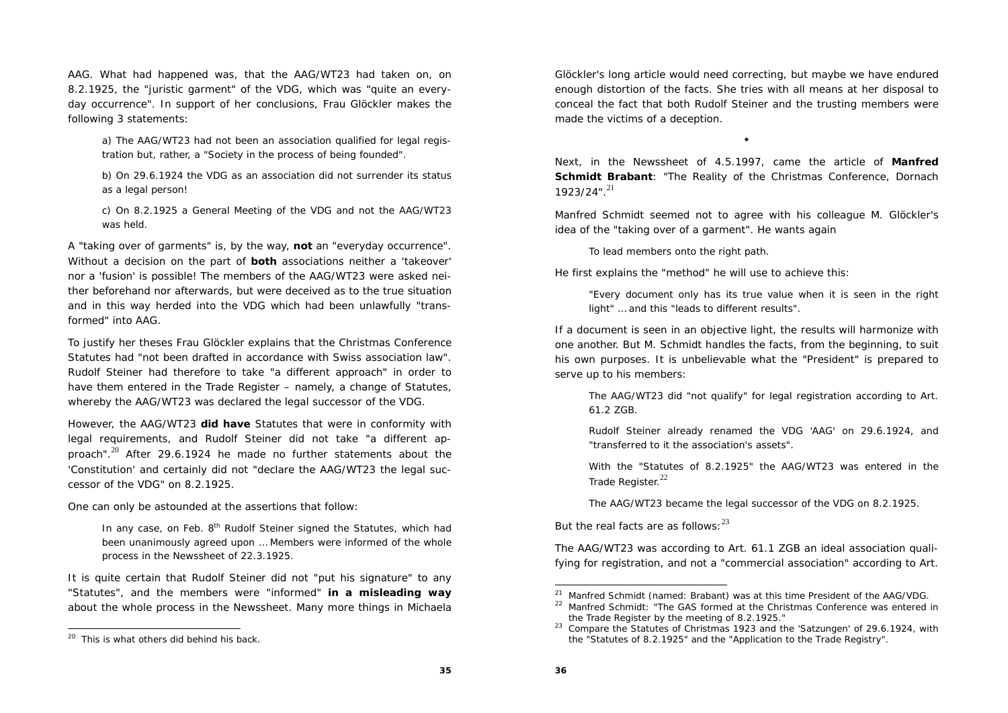AAG. What had happened was, that the AAG/WT23 had taken on, on 8.2.1925, the "juristic garment" of the VDG, which was "quite an everyday occurrence". In support of her conclusions, Frau Glöckler makes the following 3 statements:

a) The AAG/WT23 had not been an association qualified for legal registration but, rather, a "Society in the process of being founded".

b) On 29.6.1924 the VDG as an association did not surrender its status as a legal person!

c) On 8.2.1925 a General Meeting of the VDG and not the AAG/WT23 was held.

A "taking over of garments" is, by the way, **not** an "everyday occurrence". Without a decision on the part of **both** associations neither a 'takeover' nor a 'fusion' is possible! The members of the AAG/WT23 were asked neither beforehand nor afterwards, but were deceived as to the true situation and in this way herded into the VDG which had been unlawfully "transformed" into AAG.

To justify her theses Frau Glöckler explains that the Christmas Conference Statutes had "not been drafted in accordance with Swiss association law". Rudolf Steiner had therefore to take "a different approach" in order to have them entered in the Trade Register – namely, a change of Statutes, whereby the AAG/WT23 was declared the legal successor of the VDG.

However, the AAG/WT23 **did have** Statutes that were in conformity with legal requirements, and Rudolf Steiner did not take "a different approach". $^{20}$  After 29.6.1924 he made no further statements about the 'Constitution' and certainly did not "declare the AAG/WT23 the legal successor of the VDG" on 8.2.1925.

One can only be astounded at the assertions that follow:

In any case, on Feb. 8<sup>th</sup> Rudolf Steiner signed the Statutes, which had been unanimously agreed upon … Members were informed of the whole process in the Newssheet of 22.3.1925.

It is quite certain that Rudolf Steiner did not "put his signature" to any "Statutes", and the members were "informed" **in a misleading way** about the whole process in the Newssheet. Many more things in Michaela

Glöckler's long article would need correcting, but maybe we have endured enough distortion of the facts. She tries with all means at her disposal to conceal the fact that both Rudolf Steiner and the trusting members were made the victims of a deception.

Next, in the Newssheet of 4.5.1997, came the article of **Manfred Schmidt Brabant**: "The Reality of the Christmas Conference, Dornach  $1923/24"$ <sup>21</sup>

 $\bullet$ 

Manfred Schmidt seemed not to agree with his colleague M. Glöckler's idea of the "taking over of a garment". He wants again

To lead members onto the right path.

He first explains the "method" he will use to achieve this:

"Every document only has its true value when it is seen in the right light" … and this "leads to different results".

If a document is seen in an objective light, the results will harmonize with one another. But M. Schmidt handles the facts, from the beginning, to suit his own purposes. It is unbelievable what the "President" is prepared to serve up to his members:

The AAG/WT23 did "not qualify" for legal registration according to Art. 61.2 ZGB.

Rudolf Steiner already renamed the VDG 'AAG' on 29.6.1924, and "transferred to it the association's assets".

With the "Statutes of 8.2.1925" the AAG/WT23 was entered in the Trade Register.<sup>22</sup>

The AAG/WT23 became the legal successor of the VDG on 8.2.1925.

But the real facts are as follows:  $23$ 

The AAG/WT23 was according to Art. 61.1 ZGB an ideal association qualifying for registration, and not a "commercial association" according to Art.

<sup>&</sup>lt;sup>20</sup> This is what others did behind his back.

<sup>21</sup> Manfred Schmidt (named: Brabant) was at this time President of the AAG/VDG.

 $22$  Manfred Schmidt: "The GAS formed at the Christmas Conference was entered in the Trade Register by the meeting of 8.2.1925."

<sup>&</sup>lt;sup>23</sup> Compare the Statutes of Christmas 1923 and the 'Satzungen' of 29.6.1924, with the "Statutes of 8.2.1925" and the "Application to the Trade Registry".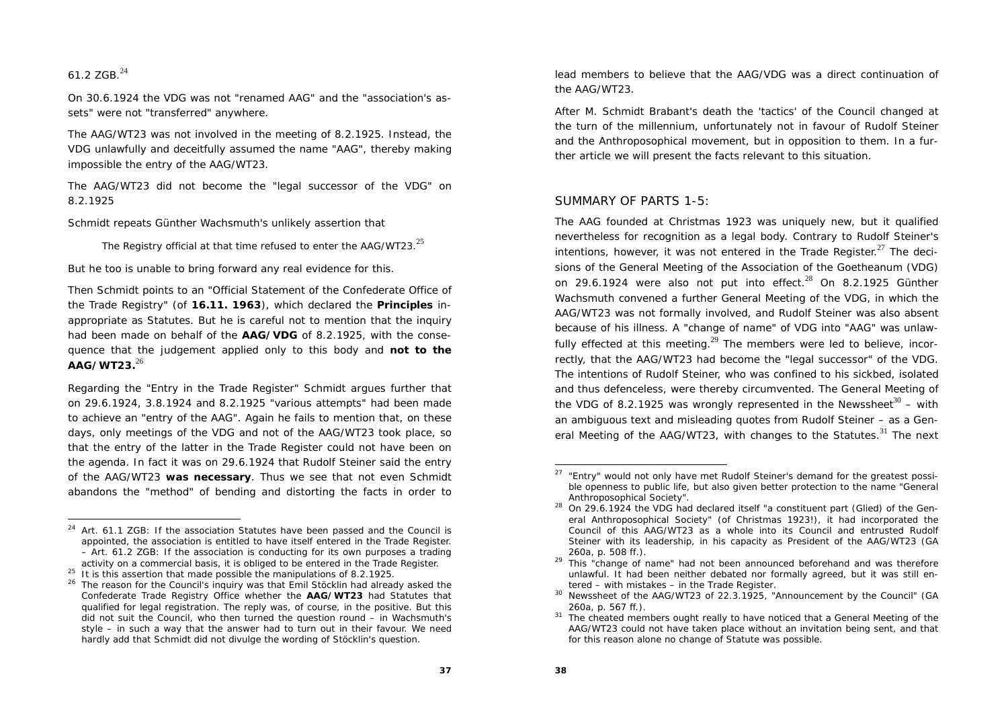#### 61.2 ZGB.<sup>24</sup>

On 30.6.1924 the VDG was not "renamed AAG" and the "association's assets" were not "transferred" anywhere.

The AAG/WT23 was not involved in the meeting of 8.2.1925. Instead, the VDG unlawfully and deceitfully assumed the name "AAG", thereby making impossible the entry of the AAG/WT23.

The AAG/WT23 did not become the "legal successor of the VDG" on 8.2.1925

Schmidt repeats Günther Wachsmuth's unlikely assertion that

The Registry official at that time refused to enter the  $AAG/WT23$ .<sup>25</sup>

But he too is unable to bring forward any real evidence for this.

Then Schmidt points to an "Official Statement of the Confederate Office of the Trade Registry" (of **16.11. 1963**), which declared the **Principles** inappropriate as Statutes. But he is careful not to mention that the inquiry had been made on behalf of the **AAG/VDG** of 8.2.1925, with the consequence that the judgement applied only to this body and **not to the AAG/WT23.**<sup>26</sup>

Regarding the "Entry in the Trade Register" Schmidt argues further that on 29.6.1924, 3.8.1924 and 8.2.1925 "various attempts" had been made to achieve an "entry of the AAG". Again he fails to mention that, on these days, only meetings of the VDG and not of the AAG/WT23 took place, so that the entry of the latter in the Trade Register could not have been on the agenda. In fact it was on 29.6.1924 that Rudolf Steiner said the entry of the AAG/WT23 **was necessary**. Thus we see that not even Schmidt abandons the "method" of bending and distorting the facts in order to

lead members to believe that the AAG/VDG was a direct continuation of the AAG/WT23.

After M. Schmidt Brabant's death the 'tactics' of the Council changed at the turn of the millennium, unfortunately not in favour of Rudolf Steiner and the Anthroposophical movement, but in opposition to them. In a further article we will present the facts relevant to this situation.

#### SUMMARY OF PARTS 1-5:

The AAG founded at Christmas 1923 was uniquely new, but it qualified nevertheless for recognition as a legal body. Contrary to Rudolf Steiner's intentions, however, it was not entered in the Trade Register. $27$  The decisions of the General Meeting of the Association of the Goetheanum (VDG) on 29.6.1924 were also not put into effect. $^{28}$  On 8.2.1925 Günther Wachsmuth convened a further General Meeting of the VDG, in which the AAG/WT23 was not formally involved, and Rudolf Steiner was also absent because of his illness. A "change of name" of VDG into "AAG" was unlawfully effected at this meeting.<sup>29</sup> The members were led to believe, incorrectly, that the AAG/WT23 had become the "legal successor" of the VDG. The intentions of Rudolf Steiner, who was confined to his sickbed, isolated and thus defenceless, were thereby circumvented. The General Meeting of the VDG of 8.2.1925 was wrongly represented in the Newssheet<sup>30</sup> – with an ambiguous text and misleading quotes from Rudolf Steiner – as a General Meeting of the AAG/WT23, with changes to the Statutes. $31$  The next

<sup>&</sup>lt;sup>24</sup> Art. 61.1 ZGB: If the association Statutes have been passed and the Council is appointed, the association is entitled to have itself entered in the Trade Register. – Art. 61.2 ZGB: If the association is conducting for its own purposes a trading activity on a commercial basis, it is obliged to be entered in the Trade Register.

<sup>&</sup>lt;sup>25</sup> It is this assertion that made possible the manipulations of 8.2.1925.

<sup>&</sup>lt;sup>26</sup> The reason for the Council's inquiry was that Emil Stöcklin had already asked the Confederate Trade Registry Office whether the **AAG/WT23** had Statutes that qualified for legal registration. The reply was, of course, in the positive. But this did not suit the Council, who then turned the question round – in Wachsmuth's style – in such a way that the answer had to turn out in their favour. We need hardly add that Schmidt did not divulge the wording of Stöcklin's question.

 $27$  "Entry" would not only have met Rudolf Steiner's demand for the greatest possible openness to public life, but also given better protection to the name "General Anthroposophical Society".

<sup>28</sup> On 29.6.1924 the VDG had declared itself "a constituent part (Glied) of the General Anthroposophical Society" (of Christmas 1923!), it had incorporated the Council of this AAG/WT23 as a whole into its Council and entrusted Rudolf Steiner with its leadership, in his capacity as President of the AAG/WT23 (GA 260a, p. 508 ff.).

<sup>&</sup>lt;sup>29</sup> This "change of name" had not been announced beforehand and was therefore unlawful. It had been neither debated nor formally agreed, but it was still entered – with mistakes – in the Trade Register.

<sup>30</sup> Newssheet of the AAG/WT23 of 22.3.1925, "Announcement by the Council" (GA 260a, p. 567 ff.).

<sup>&</sup>lt;sup>31</sup> The cheated members ought really to have noticed that a General Meeting of the AAG/WT23 could not have taken place without an invitation being sent, and that for this reason alone no change of Statute was possible.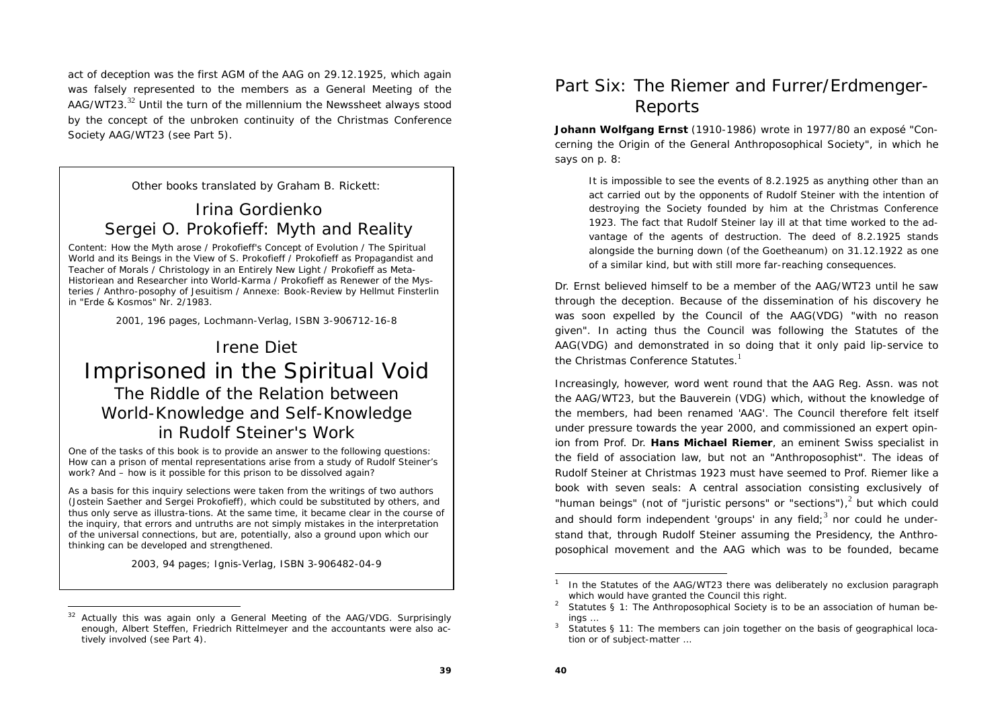act of deception was the first AGM of the AAG on 29.12.1925, which again was falsely represented to the members as a General Meeting of the AAG/WT23.<sup>32</sup> Until the turn of the millennium the Newssheet always stood by the concept of the unbroken continuity of the Christmas Conference Society AAG/WT23 (see Part 5).

Other books translated by Graham B. Rickett:

## Irina Gordienko *Sergei O. Prokofieff: Myth and Reality*

*Content:* How the Myth arose / Prokofieff's Concept of Evolution / The Spiritual World and its Beings in the View of S. Prokofieff / Prokofieff as Propagandist and Teacher of Morals / Christology in an Entirely New Light / Prokofieff as Meta-Historiean and Researcher into World-Karma / Prokofieff as Renewer of the Mysteries / Anthro-posophy of Jesuitism / Annexe: Book-Review by Hellmut Finsterlin in "Erde & Kosmos" Nr. 2/1983.

2001, 196 pages, Lochmann-Verlag, ISBN 3-906712-16-8

## Irene Diet*Imprisoned in the Spiritual Void The Riddle of the Relation between World-Knowledge and Self-Knowledge in Rudolf Steiner's Work*

One of the tasks of this book is to provide an answer to the following questions: How can a prison of mental representations arise from a study of Rudolf Steiner's work? And – how is it possible for this prison to be dissolved again?

As a basis for this inquiry selections were taken from the writings of two authors (Jostein Saether and Sergei Prokofieff), which could be substituted by others, and thus only serve as illustra-tions. At the same time, it became clear in the course of the inquiry, that errors and untruths are not simply mistakes in the interpretation of the universal connections, but are, potentially, also a ground upon which our thinking can be developed and strengthened.

2003, 94 pages; Ignis-Verlag, ISBN 3-906482-04-9

## Part Six: The Riemer and Furrer/Erdmenger-Reports

**Johann Wolfgang Ernst** (1910-1986) wrote in 1977/80 an exposé "Concerning the Origin of the General Anthroposophical Society", in which he says on p. 8:

It is impossible to see the events of 8.2.1925 as anything other than an act carried out by the opponents of Rudolf Steiner with the intention of destroying the Society founded by him at the Christmas Conference 1923. The fact that Rudolf Steiner lay ill at that time worked to the advantage of the agents of destruction. The deed of 8.2.1925 stands alongside the burning down (of the Goetheanum) on 31.12.1922 as one of a similar kind, but with still more far-reaching consequences.

Dr. Ernst believed himself to be a member of the AAG/WT23 until he saw through the deception. Because of the dissemination of his discovery he was soon expelled by the Council of the AAG(VDG) "with no reason given". In acting thus the Council was following the Statutes of the AAG(VDG) and demonstrated in so doing that it only paid lip-service to the Christmas Conference Statutes. $<sup>1</sup>$ </sup>

Increasingly, however, word went round that the AAG Reg. Assn. was not the AAG/WT23, but the Bauverein (VDG) which, without the knowledge of the members, had been renamed 'AAG'. The Council therefore felt itself under pressure towards the year 2000, and commissioned an expert opinion from Prof. Dr. **Hans Michael Riemer**, an eminent Swiss specialist in the field of association law, but not an "Anthroposophist". The ideas of Rudolf Steiner at Christmas 1923 must have seemed to Prof. Riemer like a book with seven seals: A central association consisting exclusively of "human beings" (not of "juristic persons" or "sections") $^2$  but which could and should form independent 'groups' in any field;<sup>3</sup> nor could he understand that, through Rudolf Steiner assuming the Presidency, the Anthroposophical movement and the AAG which was to be founded, became

 $32$  Actually this was again only a General Meeting of the AAG/VDG. Surprisingly enough, Albert Steffen, Friedrich Rittelmeyer and the accountants were also actively involved (see Part 4).

<sup>1</sup> In the Statutes of the AAG/WT23 there was deliberately no exclusion paragraph which would have granted the Council this right.<br><sup>2</sup> Statutes § 1: The Anthroposophical Society is to be an association of human be-

ings ...<br>Statutes § 11: The members can join together on the basis of geographical loca-

tion or of subject-matter …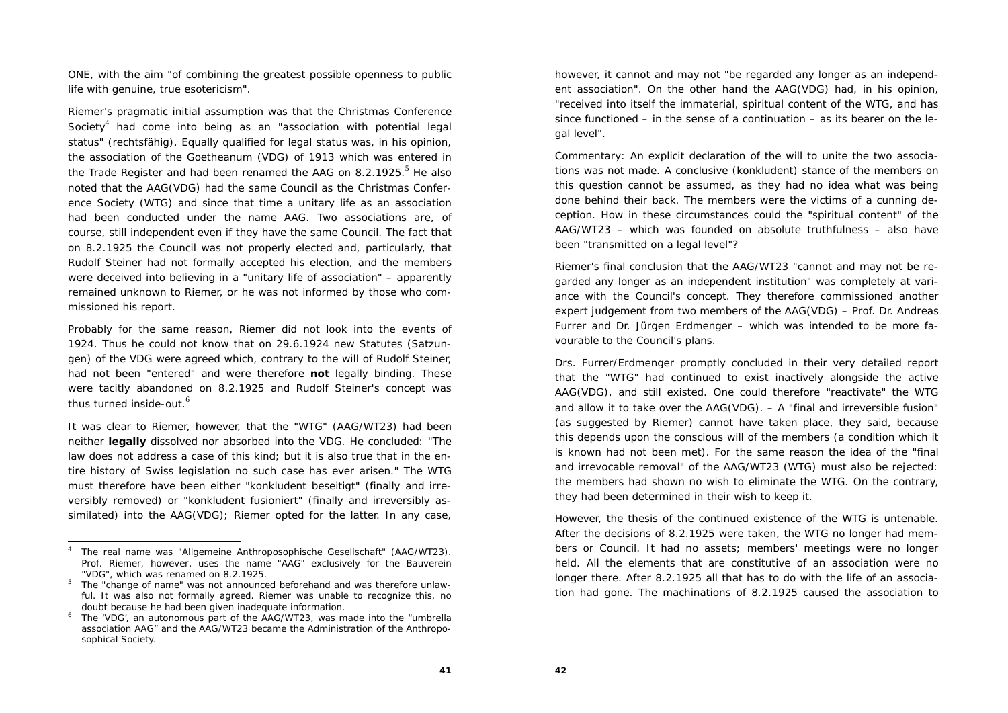ONE, with the aim "of combining the greatest possible openness to public life with genuine, true esotericism".

Riemer's pragmatic initial assumption was that the Christmas Conference Society $4$  had come into being as an "association with potential legal status" (rechtsfähig). Equally qualified for legal status was, in his opinion, the association of the Goetheanum (VDG) of 1913 which was entered in the Trade Register and had been renamed the AAG on 8.2.1925.<sup>5</sup> He also noted that the AAG(VDG) had the same Council as the Christmas Conference Society (WTG) and since that time a unitary life as an association had been conducted under the name AAG. Two associations are, of course, still independent even if they have the same Council. The fact that on 8.2.1925 the Council was not properly elected and, particularly, that Rudolf Steiner had not formally accepted his election, and the members were deceived into believing in a "unitary life of association" – apparently remained unknown to Riemer, or he was not informed by those who commissioned his report.

Probably for the same reason, Riemer did not look into the events of 1924. Thus he could not know that on 29.6.1924 new Statutes (Satzungen) of the VDG were agreed which, contrary to the will of Rudolf Steiner, had not been "entered" and were therefore **not** legally binding. These were tacitly abandoned on 8.2.1925 and Rudolf Steiner's concept was thus turned inside-out.<sup> $6$ </sup>

It was clear to Riemer, however, that the "WTG" (AAG/WT23) had been neither **legally** dissolved nor absorbed into the VDG. He concluded: "The law does not address a case of this kind; but it is also true that in the entire history of Swiss legislation no such case has ever arisen." The WTG must therefore have been either "konkludent beseitigt" (finally and irreversibly removed) or "konkludent fusioniert" (finally and irreversibly assimilated) into the AAG(VDG); Riemer opted for the latter. In any case,

however, it cannot and may not "be regarded any longer as an independent association". On the other hand the AAG(VDG) had, in his opinion, "received into itself the immaterial, spiritual content of the WTG, and has since functioned – in the sense of a continuation – as its bearer on the legal level".

*Commentary:* An explicit declaration of the will to unite the two associations was not made. A conclusive (konkludent) stance of the members on this question cannot be assumed, as they had no idea what was being done behind their back. The members were the victims of a cunning deception. How in these circumstances could the "spiritual content" of the AAG/WT23 – which was founded on absolute truthfulness – also have been "transmitted on a legal level"?

Riemer's final conclusion that the AAG/WT23 "cannot and may not be regarded any longer as an independent institution" was completely at variance with the Council's concept. They therefore commissioned another expert judgement from two members of the AAG(VDG) – Prof. Dr. Andreas Furrer and Dr. Jürgen Erdmenger – which was intended to be more favourable to the Council's plans.

Drs. Furrer/Erdmenger promptly concluded in their very detailed report that the "WTG" had continued to exist inactively alongside the active AAG(VDG), and still existed. One could therefore "reactivate" the WTG and allow it to take over the AAG(VDG). – A "final and irreversible fusion" (as suggested by Riemer) cannot have taken place, they said, because this depends upon the conscious will of the members (a condition which it is known had not been met). For the same reason the idea of the "final and irrevocable removal" of the AAG/WT23 (WTG) must also be rejected: the members had shown no wish to eliminate the WTG. On the contrary, they had been determined in their wish to keep it.

However, the thesis of the continued existence of the WTG is untenable. After the decisions of 8.2.1925 were taken, the WTG no longer had members or Council. It had no assets; members' meetings were no longer held. All the elements that are constitutive of an association were no longer there. After 8.2.1925 all that has to do with the life of an association had gone. The machinations of 8.2.1925 caused the association to

<sup>4</sup> The real name was "Allgemeine Anthroposophische Gesellschaft" (AAG/WT23). Prof. Riemer, however, uses the name "AAG" exclusively for the Bauverein "VDG", which was renamed on 8.2.1925. 5 The "change of name" was not announced beforehand and was therefore unlaw-

ful. It was also not formally agreed. Riemer was unable to recognize this, no

doubt because he had been given inadequate information.<br><sup>6</sup> The 'VDG', an autonomous part of the AAG/WT23, was made into the "umbrella association AAG" and the AAG/WT23 became the Administration of the Anthroposophical Society.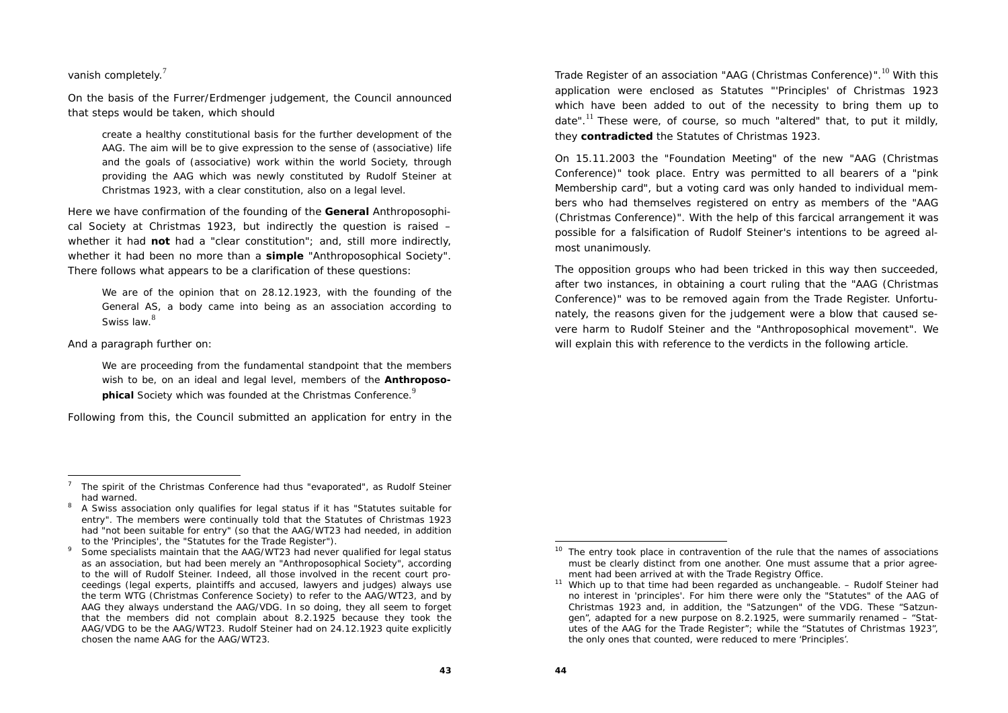vanish completely.<sup>7</sup>

On the basis of the Furrer/Erdmenger judgement, the Council announced that steps would be taken, which should

create a healthy constitutional basis for the further development of the AAG. The aim will be to give expression to the sense of (associative) life and the goals of (associative) work within the world Society, through providing the AAG which was newly constituted by Rudolf Steiner at Christmas 1923, with a clear constitution, also on a legal level.

Here we have confirmation of the founding of the **General** Anthroposophical Society at Christmas 1923, but indirectly the question is raised – whether it had **not** had a "clear constitution"; and, still more indirectly, whether it had been no more than a **simple** "Anthroposophical Society". There follows what appears to be a clarification of these questions:

We are of the opinion that on 28.12.1923, with the founding of the General AS, a body came into being as an association according to Swiss law.<sup>8</sup>

And a paragraph further on:

We are proceeding from the fundamental standpoint that the members wish to be, on an ideal and legal level, members of the **Anthroposophical** Society which was founded at the Christmas Conference.<sup>9</sup>

Following from this, the Council submitted an application for entry in the

Some specialists maintain that the AAG/WT23 had never qualified for legal status as an association, but had been merely an "Anthroposophical Society", according to the will of Rudolf Steiner. Indeed, all those involved in the recent court proceedings (legal experts, plaintiffs and accused, lawyers and judges) always use the term WTG (Christmas Conference Society) to refer to the AAG/WT23, and by AAG they always understand the AAG/VDG. In so doing, they all seem to forget that the members did not complain about 8.2.1925 because they took the AAG/VDG to be the AAG/WT23. Rudolf Steiner had on 24.12.1923 quite explicitly chosen the name AAG for the AAG/WT23.

Trade Register of an association "AAG (Christmas Conference)".<sup>10</sup> With this application were enclosed as Statutes "'Principles' of Christmas 1923 which have been added to out of the necessity to bring them up to date".<sup>11</sup> These were, of course, so much "altered" that, to put it mildly, they **contradicted** the Statutes of Christmas 1923.

On 15.11.2003 the "Foundation Meeting" of the new "AAG (Christmas Conference)" took place. Entry was permitted to all bearers of a "pink Membership card", but a voting card was only handed to individual members who had themselves registered on entry as members of the "AAG (Christmas Conference)". With the help of this farcical arrangement it was possible for a falsification of Rudolf Steiner's intentions to be agreed almost unanimously.

The opposition groups who had been tricked in this way then succeeded, after two instances, in obtaining a court ruling that the "AAG (Christmas Conference)" was to be removed again from the Trade Register. Unfortunately, the reasons given for the judgement were a blow that caused severe harm to Rudolf Steiner and the "Anthroposophical movement". We will explain this with reference to the verdicts in the following article.

<sup>7</sup> The spirit of the Christmas Conference had thus "evaporated", as Rudolf Steiner had warned.

<sup>8</sup> A Swiss association only qualifies for legal status if it has "Statutes suitable for entry". The members were continually told that the Statutes of Christmas 1923 had "not been suitable for entry" (so that the AAG/WT23 had needed, in addition to the 'Principles', the "Statutes for the Trade Register").

The entry took place in contravention of the rule that the names of associations must be clearly distinct from one another. One must assume that a prior agreement had been arrived at with the Trade Registry Office.

 $11$  Which up to that time had been regarded as unchangeable. – Rudolf Steiner had no interest in 'principles'. For him there were only the "Statutes" of the AAG of Christmas 1923 and, in addition, the "Satzungen" of the VDG. These "Satzungen", adapted for a new purpose on 8.2.1925, were summarily renamed – "Statutes of the AAG for the Trade Register"; while the "Statutes of Christmas 1923", the only ones that counted, were reduced to mere 'Principles'.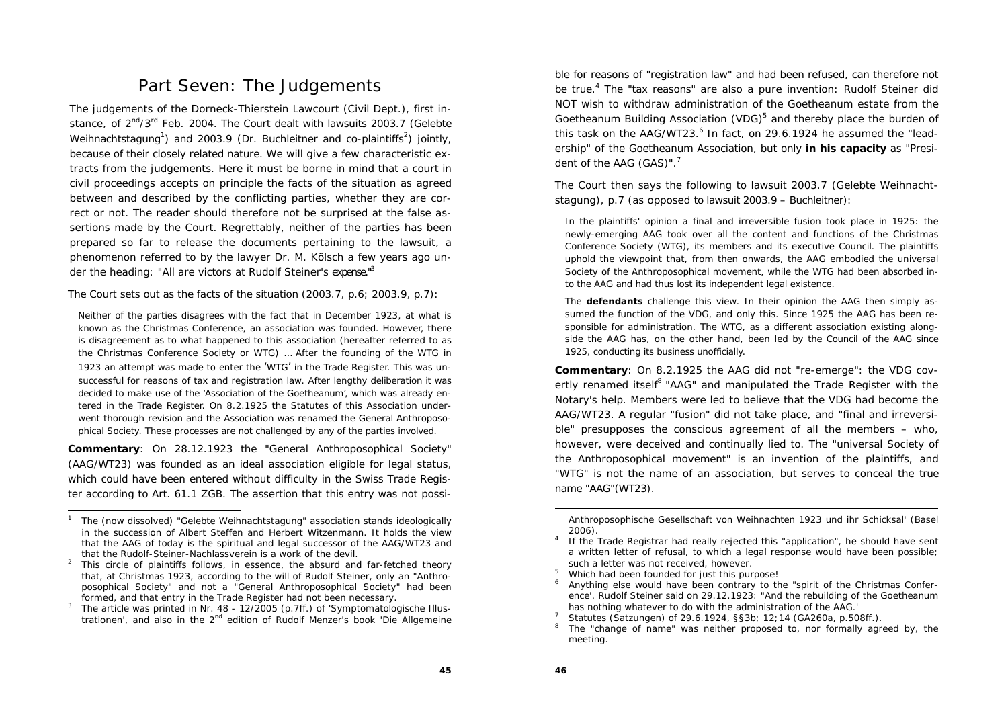### Part Seven: The Judgements

The judgements of the Dorneck-Thierstein Lawcourt (Civil Dept.), first instance, of  $2^{nd}/3^{rd}$  Feb. 2004. The Court dealt with lawsuits 2003.7 (Gelebte Weihnachtstagung<sup>1</sup>) and 2003.9 (Dr. Buchleitner and co-plaintiffs<sup>2</sup>) jointly, because of their closely related nature. We will give a few characteristic extracts from the judgements. Here it must be borne in mind that a court in civil proceedings accepts on principle the facts of the situation as agreed between and described by the conflicting parties, whether they are correct or not. The reader should therefore not be surprised at the false assertions made by the Court. Regrettably, neither of the parties has been prepared so far to release the documents pertaining to the lawsuit, a phenomenon referred to by the lawyer Dr. M. Kölsch a few years ago under the heading: "All are victors at Rudolf Steiner's expense."<sup>3</sup>

The Court sets out as the facts of the situation (2003.7, p.6; 2003.9, p.7):

Neither of the parties disagrees with the fact that in December 1923, at what is known as the Christmas Conference, an association was founded. However, there is disagreement as to what happened to this association (hereafter referred to as the Christmas Conference Society or WTG) … After the founding of the WTG in 1923 an attempt was made to enter the 'WTG' in the Trade Register. This was unsuccessful for reasons of tax and registration law. After lengthy deliberation it was decided to make use of the 'Association of the Goetheanum', which was already entered in the Trade Register. On 8.2.1925 the Statutes of this Association underwent thorough revision and the Association was renamed the General Anthroposophical Society. These processes are not challenged by any of the parties involved.

**Commentary**: On 28.12.1923 the "General Anthroposophical Society" (AAG/WT23) was founded as an ideal association eligible for legal status, which could have been entered without difficulty in the Swiss Trade Register according to Art. 61.1 ZGB. The assertion that this entry was not possible for reasons of "registration law" and had been refused, can therefore not be true.<sup>4</sup> The "tax reasons" are also a pure invention: Rudolf Steiner did NOT wish to withdraw administration of the Goetheanum estate from the Goetheanum Building Association (VDG)<sup>5</sup> and thereby place the burden of this task on the AAG/WT23. $^6$  In fact, on 29.6.1924 he assumed the "leadership" of the Goetheanum Association, but only **in his capacity** as "President of the AAG (GAS)".<sup>7</sup>

The Court then says the following to lawsuit 2003.7 (Gelebte Weihnachtstagung), p.7 (as opposed to lawsuit 2003.9 – Buchleitner):

In the plaintiffs' opinion a final and irreversible fusion took place in 1925: the newly-emerging AAG took over all the content and functions of the Christmas Conference Society (WTG), its members and its executive Council. The plaintiffs uphold the viewpoint that, from then onwards, the AAG embodied the universal Society of the Anthroposophical movement, while the WTG had been absorbed into the AAG and had thus lost its independent legal existence.

The **defendants** challenge this view. In their opinion the AAG then simply assumed the function of the VDG, and only this. Since 1925 the AAG has been responsible for administration. The WTG, as a different association existing alongside the AAG has, on the other hand, been led by the Council of the AAG since 1925, conducting its business unofficially.

**Commentary**: On 8.2.1925 the AAG did not "re-emerge": the VDG covertly renamed itself<sup>8</sup> "AAG" and manipulated the Trade Register with the Notary's help. Members were led to believe that the VDG had become the AAG/WT23. A regular "fusion" did not take place, and "final and irreversible" presupposes the conscious agreement of all the members – who, however, were deceived and continually lied to. The "universal Society of the Anthroposophical movement" is an invention of the plaintiffs, and "WTG" is not the name of an association, but serves to conceal the true name "AAG"(WT23).

<sup>1</sup> The (now dissolved) "Gelebte Weihnachtstagung" association stands ideologically in the succession of Albert Steffen and Herbert Witzenmann. It holds the view that the AAG of today is the spiritual and legal successor of the AAG/WT23 and that the Rudolf-Steiner-Nachlassverein is a work of the devil.<br><sup>2</sup> This circle of plaintiffs follows, in essence, the absurd and far-fetched theory

that, at Christmas 1923, according to the will of Rudolf Steiner, only an "Anthroposophical Society" and not a "General Anthroposophical Society" had been

formed, and that entry in the Trade Register had not been necessary. 3 The article was printed in Nr. 48 - 12/2005 (p.7ff.) of 'Symptomatologische Illustrationen', and also in the 2nd edition of Rudolf Menzer's book 'Die Allgemeine

Anthroposophische Gesellschaft von Weihnachten 1923 und ihr Schicksal' (Basel 2006).<br>If the Trade Registrar had really rejected this "application", he should have sent

a written letter of refusal, to which a legal response would have been possible; such a letter was not received, however.<br><sup>5</sup> Which had been founded for just this purpose!

<sup>6</sup> Anything else would have been contrary to the "spirit of the Christmas Conference'. Rudolf Steiner said on 29.12.1923: "And the rebuilding of the Goetheanum has nothing whatever to do with the administration of the AAG.'<br>Statutes (Satzungen) of 29.6.1924, §§3b; 12;14 (GA260a, p.508ff.).

The "change of name" was neither proposed to, nor formally agreed by, the meeting.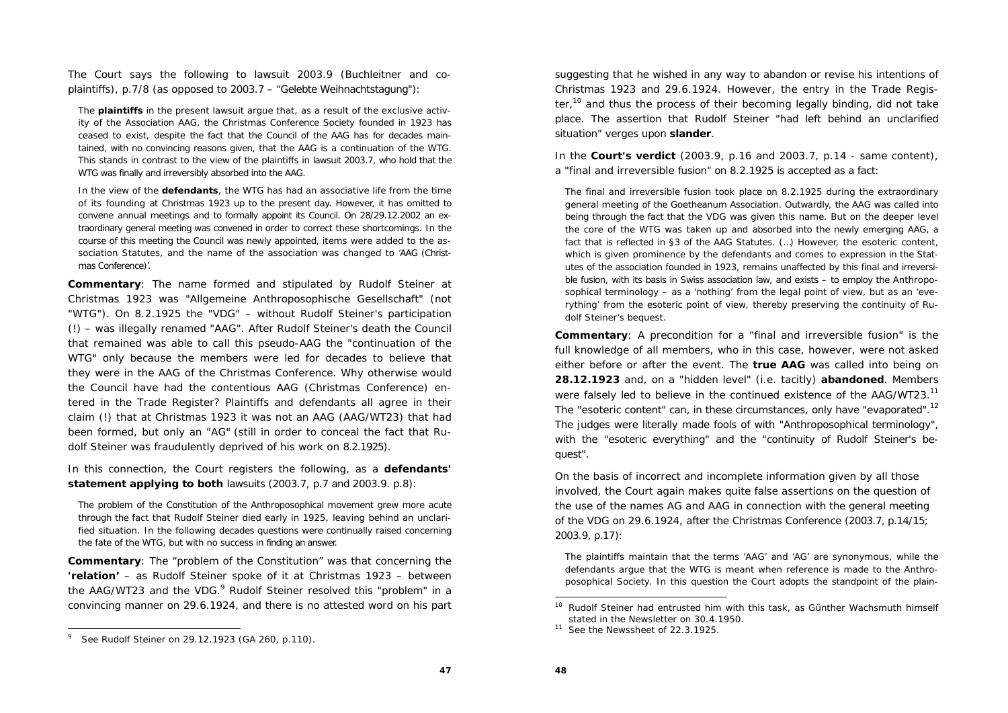The Court says the following to lawsuit 2003.9 (Buchleitner and coplaintiffs), p.7/8 (as opposed to 2003.7 – "Gelebte Weihnachtstagung"):

The **plaintiffs** in the present lawsuit argue that, as a result of the exclusive activity of the Association AAG, the Christmas Conference Society founded in 1923 has ceased to exist, despite the fact that the Council of the AAG has for decades maintained, with no convincing reasons given, that the AAG is a continuation of the WTG. This stands in contrast to the view of the plaintiffs in lawsuit 2003.7, who hold that the WTG was finally and irreversibly absorbed into the AAG.

In the view of the **defendants**, the WTG has had an associative life from the time of its founding at Christmas 1923 up to the present day. However, it has omitted to convene annual meetings and to formally appoint its Council. On 28/29.12.2002 an extraordinary general meeting was convened in order to correct these shortcomings. In the course of this meeting the Council was newly appointed, items were added to the association Statutes, and the name of the association was changed to 'AAG (Christmas Conference)'.

**Commentary**: The name formed and stipulated by Rudolf Steiner at Christmas 1923 was "Allgemeine Anthroposophische Gesellschaft" (not "WTG"). On 8.2.1925 the "VDG" – without Rudolf Steiner's participation (!) *–* was illegally renamed "AAG". After Rudolf Steiner's death the Council that remained was able to call this pseudo-AAG the "continuation of the WTG" only because the members were led *for decades* to believe that they were in the AAG of the Christmas Conference. Why otherwise would the Council have had the contentious AAG (Christmas Conference) entered in the Trade Register? Plaintiffs and defendants all agree in their claim (!) that at Christmas 1923 it was not an AAG (AAG/WT23) that had been formed, but only an "AG" (still in order to conceal the fact that Rudolf Steiner was fraudulently deprived of his work on 8.2.1925).

In this connection, the Court registers the following, as a **defendants' statement applying to both** lawsuits (2003.7, p.7 and 2003.9. p.8):

The problem of the Constitution of the Anthroposophical movement grew more acute through the fact that Rudolf Steiner died early in 1925, leaving behind an unclarified situation. In the following decades questions were continually raised concerning the fate of the WTG, but with no success in finding an answer.

**Commentary**: The "problem of the Constitution" was that concerning the **'relation'** – as Rudolf Steiner spoke of it at Christmas 1923 – between the AAG/WT23 and the VDG.<sup>9</sup> Rudolf Steiner resolved this "problem" in a convincing manner on 29.6.1924, and there is no attested word on his part

suggesting that he wished in any way to abandon or revise his intentions of Christmas 1923 and 29.6.1924. However, the entry in the Trade Register,<sup>10</sup> and thus the process of their becoming legally binding, did not take place. The assertion that Rudolf Steiner "had left behind an unclarified situation" verges upon **slander**.

In the **Court's verdict** (2003.9, p.16 and 2003.7, p.14 - same content), <sup>a</sup>"final and irreversible fusion" on 8.2.1925 is accepted as a fact:

The final and irreversible fusion took place on 8.2.1925 during the extraordinary general meeting of the Goetheanum Association. Outwardly, the AAG was called into being through the fact that the VDG was given this name. But on the deeper level the core of the WTG was taken up and absorbed into the newly emerging AAG, a fact that is reflected in §3 of the AAG Statutes. (…) However, the esoteric content, which is given prominence by the defendants and comes to expression in the Statutes of the association founded in 1923, remains unaffected by this final and irreversible fusion, with its basis in Swiss association law, and exists – to employ the Anthroposophical terminology – as a 'nothing' from the legal point of view, but as an 'everything' from the esoteric point of view, thereby preserving the continuity of Rudolf Steiner's bequest.

**Commentary**: A precondition for a "final and irreversible fusion" is the full knowledge of all members, who in this case, however, were not asked either before or after the event. The **true AAG** was called into being on **28.12.1923** and, on a "hidden level" (i.e. tacitly) **abandoned**. Members were falsely led to believe in the continued existence of the AAG/WT23.<sup>11</sup> The "esoteric content" can, in these circumstances, only have "evaporated"*.*<sup>12</sup> The judges were literally made fools of with "Anthroposophical terminology", with the "esoteric everything" and the "continuity of Rudolf Steiner's bequest".

On the basis of incorrect and incomplete information given by all those involved, the Court again makes quite false assertions on the question of the use of the names AG and AAG in connection with the general meeting of the VDG on 29.6.1924, after the Christmas Conference (2003.7, p.14/15; 2003.9, p.17):

The plaintiffs maintain that the terms 'AAG' and 'AG' are synonymous, while the defendants argue that the WTG is meant when reference is made to the Anthroposophical Society. In this question the Court adopts the standpoint of the plain-

<sup>9</sup> See Rudolf Steiner on 29.12.1923 (GA 260, p.110).

<sup>&</sup>lt;sup>10</sup> Rudolf Steiner had entrusted him with this task, as Günther Wachsmuth himself stated in the Newsletter on 30.4.1950.

<sup>&</sup>lt;sup>11</sup> See the Newssheet of 22.3.1925.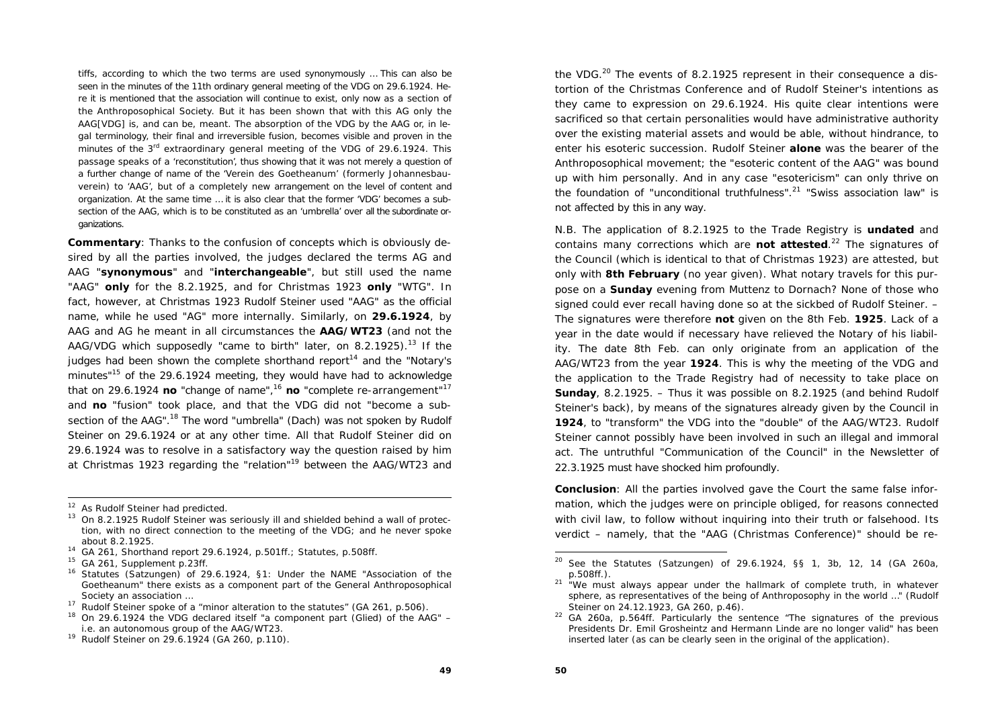tiffs, according to which the two terms are used synonymously … This can also be seen in the minutes of the 11th ordinary general meeting of the VDG on 29.6.1924. Here it is mentioned that the association will continue to exist, only now as a section of the Anthroposophical Society. But it has been shown that with this AG only the AAG[VDG] is, and can be, meant. The absorption of the VDG by the AAG or, in legal terminology, their final and irreversible fusion, becomes visible and proven in the minutes of the 3<sup>rd</sup> extraordinary general meeting of the VDG of 29.6.1924. This passage speaks of a 'reconstitution', thus showing that it was not merely a question of a further change of name of the 'Verein des Goetheanum' (formerly Johannesbauverein) to 'AAG', but of a completely new arrangement on the level of content and organization. At the same time … it is also clear that the former 'VDG' becomes a subsection of the AAG, which is to be constituted as an 'umbrella' over all the subordinate organizations.

**Commentary**: Thanks to the confusion of concepts which is obviously desired by all the parties involved, the judges declared the terms AG and AAG "**synonymous**" and "**interchangeable**", but still used the name "AAG" **only** for the 8.2.1925, and for Christmas 1923 **only** "WTG". In fact, however, at Christmas 1923 Rudolf Steiner used "AAG" as the official name, while he used "AG" more internally. Similarly, on **29.6.1924**, by AAG and AG he meant in all circumstances the **AAG/WT23** (and not the AAG/VDG which supposedly "came to birth" later, on  $8.2.1925$ ).<sup>13</sup> If the judges had been shown the complete shorthand report<sup>14</sup> and the "Notary's minutes"15 of the 29.6.1924 meeting, they would have had to acknowledge that on 29.6.1924 **no** "change of name",<sup>16</sup> no "complete re-arrangement"<sup>17</sup> and **no** "fusion" took place, and that the VDG did not "become a subsection of the AAG".<sup>18</sup> The word "umbrella" (Dach) was not spoken by Rudolf Steiner on 29.6.1924 or at any other time. All that Rudolf Steiner did on 29.6.1924 was to resolve in a satisfactory way the question raised by him at Christmas 1923 regarding the "relation"19 between the AAG/WT23 and the VDG.<sup>20</sup> The events of 8.2.1925 represent in their consequence a distortion of the Christmas Conference and of Rudolf Steiner's intentions as they came to expression on 29.6.1924. His quite clear intentions were sacrificed so that certain personalities would have administrative authority over the existing material assets and would be able, without hindrance, to enter his esoteric succession. Rudolf Steiner **alone** was the bearer of the Anthroposophical movement; the "esoteric content of the AAG" was bound up with him personally. And in any case "esotericism" can only thrive on the foundation of "unconditional truthfulness".<sup>21</sup> "Swiss association law" is not affected by this in any way.

N.B. The application of 8.2.1925 to the Trade Registry is **undated** and contains many corrections which are **not attested**.22 The signatures of the Council (which is identical to that of Christmas 1923) are attested, but only with **8th February** (no year given). What notary travels for this purpose on a **Sunday** evening from Muttenz to Dornach? None of those who signed could ever recall having done so at the sickbed of Rudolf Steiner. – The signatures were therefore **not** given on the 8th Feb. **1925**. Lack of a year in the date would if necessary have relieved the Notary of his liability. The date 8th Feb. can only originate from an application of the AAG/WT23 from the year **1924**. This is why the meeting of the VDG and the application to the Trade Registry had of necessity to take place on **Sunday**, 8.2.1925. – Thus it was possible on 8.2.1925 (and behind Rudolf Steiner's back), by means of the signatures already given by the Council in **1924**, to "transform" the VDG into the "double" of the AAG/WT23. Rudolf Steiner cannot possibly have been involved in such an illegal and immoral act. The untruthful "Communication of the Council" in the Newsletter of 22.3.1925 must have shocked him profoundly.

**Conclusion**: All the parties involved gave the Court the same false information, which the judges were on principle obliged, for reasons connected with civil law, to follow without inquiring into their truth or falsehood. Its verdict – namely, that the "AAG (Christmas Conference)" should be re-

<sup>&</sup>lt;sup>12</sup> As Rudolf Steiner had predicted.

<sup>&</sup>lt;sup>13</sup> On 8.2.1925 Rudolf Steiner was seriously ill and shielded behind a wall of protection, with no direct connection to the meeting of the VDG; and he never spoke about 8.2.1925.

 $14$  GA 261, Shorthand report 29.6.1924, p.501ff.; Statutes, p.508ff.

<sup>&</sup>lt;sup>15</sup> GA 261, Supplement p.23ff.

<sup>16</sup> Statutes (Satzungen) of 29.6.1924, §1: Under the NAME "Association of the Goetheanum" there exists as a component part of the General Anthroposophical Society an association …

Rudolf Steiner spoke of a "minor alteration to the statutes" (GA 261, p.506).

<sup>18</sup> On 29.6.1924 the VDG declared itself "a component part (Glied) of the AAG" – i.e. an autonomous group of the AAG/WT23.

<sup>19</sup> Rudolf Steiner on 29.6.1924 (GA 260, p.110).

 $20$  See the Statutes (Satzungen) of 29.6.1924, §§ 1, 3b, 12, 14 (GA 260a, p.508ff.).

<sup>&</sup>lt;sup>21</sup> "We must always appear under the hallmark of complete truth, in whatever sphere, as representatives of the being of Anthroposophy in the world …" (Rudolf Steiner on 24.12.1923, GA 260, p.46).

 $22$  GA 260a, p.564ff. Particularly the sentence "The signatures of the previous Presidents Dr. Emil Grosheintz and Hermann Linde are no longer valid" has been inserted later (as can be clearly seen in the original of the application).